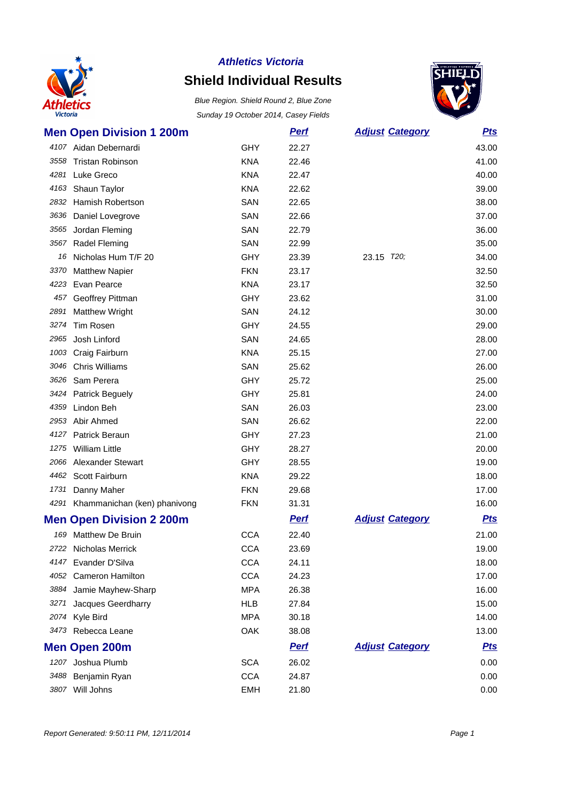

### **Shield Individual Results**



|      | <b>Men Open Division 1 200m</b>   |            | <u>Perf</u> | <b>Adjust Category</b> | <u>Pts</u> |
|------|-----------------------------------|------------|-------------|------------------------|------------|
|      | 4107 Aidan Debernardi             | GHY        | 22.27       |                        | 43.00      |
|      | 3558 Tristan Robinson             | <b>KNA</b> | 22.46       |                        | 41.00      |
|      | 4281 Luke Greco                   | <b>KNA</b> | 22.47       |                        | 40.00      |
| 4163 | Shaun Taylor                      | <b>KNA</b> | 22.62       |                        | 39.00      |
| 2832 | <b>Hamish Robertson</b>           | SAN        | 22.65       |                        | 38.00      |
| 3636 | Daniel Lovegrove                  | SAN        | 22.66       |                        | 37.00      |
| 3565 | Jordan Fleming                    | SAN        | 22.79       |                        | 36.00      |
| 3567 | Radel Fleming                     | SAN        | 22.99       |                        | 35.00      |
|      | 16 Nicholas Hum T/F 20            | GHY        | 23.39       | 23.15 T20;             | 34.00      |
| 3370 | <b>Matthew Napier</b>             | <b>FKN</b> | 23.17       |                        | 32.50      |
| 4223 | Evan Pearce                       | <b>KNA</b> | 23.17       |                        | 32.50      |
| 457  | Geoffrey Pittman                  | GHY        | 23.62       |                        | 31.00      |
| 2891 | <b>Matthew Wright</b>             | SAN        | 24.12       |                        | 30.00      |
| 3274 | Tim Rosen                         | <b>GHY</b> | 24.55       |                        | 29.00      |
| 2965 | Josh Linford                      | SAN        | 24.65       |                        | 28.00      |
| 1003 | Craig Fairburn                    | <b>KNA</b> | 25.15       |                        | 27.00      |
| 3046 | <b>Chris Williams</b>             | SAN        | 25.62       |                        | 26.00      |
|      | 3626 Sam Perera                   | <b>GHY</b> | 25.72       |                        | 25.00      |
|      | 3424 Patrick Beguely              | GHY        | 25.81       |                        | 24.00      |
| 4359 | Lindon Beh                        | SAN        | 26.03       |                        | 23.00      |
|      | 2953 Abir Ahmed                   | SAN        | 26.62       |                        | 22.00      |
| 4127 | Patrick Beraun                    | GHY        | 27.23       |                        | 21.00      |
| 1275 | <b>William Little</b>             | GHY        | 28.27       |                        | 20.00      |
|      | 2066 Alexander Stewart            | <b>GHY</b> | 28.55       |                        | 19.00      |
|      | 4462 Scott Fairburn               | <b>KNA</b> | 29.22       |                        | 18.00      |
| 1731 | Danny Maher                       | <b>FKN</b> | 29.68       |                        | 17.00      |
|      | 4291 Khammanichan (ken) phanivong | <b>FKN</b> | 31.31       |                        | 16.00      |
|      | <b>Men Open Division 2 200m</b>   |            | <b>Pert</b> | <b>Adjust Category</b> | <b>Pts</b> |
| 169  | <b>Matthew De Bruin</b>           | <b>CCA</b> | 22.40       |                        | 21.00      |
|      | 2722 Nicholas Merrick             | <b>CCA</b> | 23.69       |                        | 19.00      |
|      | 4147 Evander D'Silva              | <b>CCA</b> | 24.11       |                        | 18.00      |
| 4052 | <b>Cameron Hamilton</b>           | <b>CCA</b> | 24.23       |                        | 17.00      |
| 3884 | Jamie Mayhew-Sharp                | <b>MPA</b> | 26.38       |                        | 16.00      |
| 3271 | Jacques Geerdharry                | HLB        | 27.84       |                        | 15.00      |
| 2074 | Kyle Bird                         | <b>MPA</b> | 30.18       |                        | 14.00      |
|      | 3473 Rebecca Leane                | OAK        | 38.08       |                        | 13.00      |
|      | <b>Men Open 200m</b>              |            | <b>Perf</b> | <b>Adjust Category</b> | <u>Pts</u> |
|      | 1207 Joshua Plumb                 | <b>SCA</b> | 26.02       |                        | 0.00       |
|      | 3488 Benjamin Ryan                | <b>CCA</b> | 24.87       |                        | 0.00       |
|      | 3807 Will Johns                   | <b>EMH</b> | 21.80       |                        | 0.00       |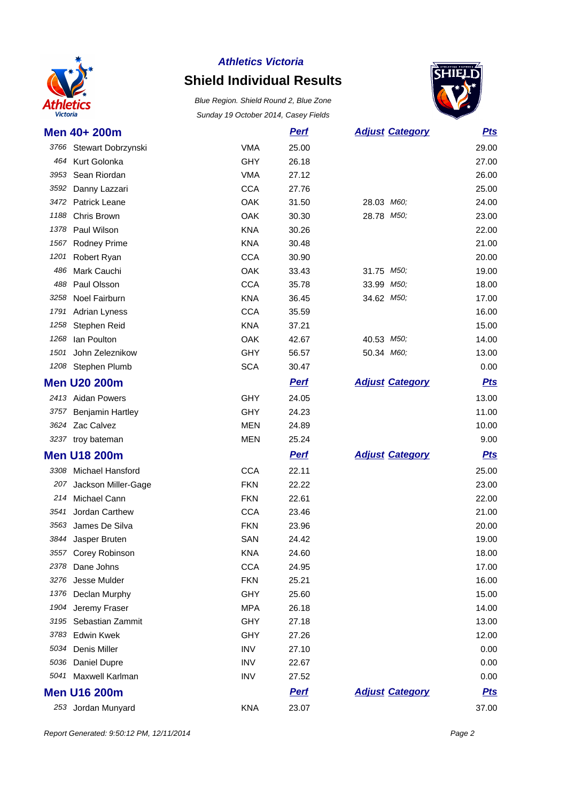

### **Shield Individual Results**



| Men 40+ 200m                 |            | <b>Pert</b> | <b>Adjust Category</b> | <b>Pts</b> |
|------------------------------|------------|-------------|------------------------|------------|
| 3766 Stewart Dobrzynski      | <b>VMA</b> | 25.00       |                        | 29.00      |
| 464 Kurt Golonka             | <b>GHY</b> | 26.18       |                        | 27.00      |
| 3953<br>Sean Riordan         | <b>VMA</b> | 27.12       |                        | 26.00      |
| 3592<br>Danny Lazzari        | <b>CCA</b> | 27.76       |                        | 25.00      |
| 3472 Patrick Leane           | OAK        | 31.50       | 28.03 M60;             | 24.00      |
| 1188<br>Chris Brown          | OAK        | 30.30       | 28.78 M50;             | 23.00      |
| Paul Wilson<br>1378          | <b>KNA</b> | 30.26       |                        | 22.00      |
| 1567 Rodney Prime            | <b>KNA</b> | 30.48       |                        | 21.00      |
| 1201<br><b>Robert Ryan</b>   | <b>CCA</b> | 30.90       |                        | 20.00      |
| Mark Cauchi<br>486           | OAK        | 33.43       | 31.75 M50;             | 19.00      |
| 488<br>Paul Olsson           | <b>CCA</b> | 35.78       | 33.99 M50;             | 18.00      |
| Noel Fairburn<br>3258        | <b>KNA</b> | 36.45       | 34.62 M50;             | 17.00      |
| 1791<br><b>Adrian Lyness</b> | <b>CCA</b> | 35.59       |                        | 16.00      |
| 1258<br>Stephen Reid         | <b>KNA</b> | 37.21       |                        | 15.00      |
| lan Poulton<br>1268          | OAK        | 42.67       | 40.53 M50;             | 14.00      |
| John Zeleznikow<br>1501      | <b>GHY</b> | 56.57       | 50.34 M60;             | 13.00      |
| 1208<br>Stephen Plumb        | <b>SCA</b> | 30.47       |                        | 0.00       |
| <b>Men U20 200m</b>          |            | <b>Perf</b> | <b>Adjust Category</b> | <b>Pts</b> |
| 2413 Aidan Powers            | GHY        | 24.05       |                        | 13.00      |
| 3757 Benjamin Hartley        | <b>GHY</b> | 24.23       |                        | 11.00      |
| 3624 Zac Calvez              | <b>MEN</b> | 24.89       |                        | 10.00      |
| 3237 troy bateman            | <b>MEN</b> | 25.24       |                        | 9.00       |
| <b>Men U18 200m</b>          |            | <b>Perf</b> | <b>Adjust Category</b> | <b>Pts</b> |
| 3308 Michael Hansford        | <b>CCA</b> | 22.11       |                        | 25.00      |
| 207<br>Jackson Miller-Gage   | <b>FKN</b> | 22.22       |                        | 23.00      |
| Michael Cann<br>214          | <b>FKN</b> | 22.61       |                        | 22.00      |
| Jordan Carthew<br>3541       | <b>CCA</b> | 23.46       |                        | 21.00      |
| James De Silva<br>3563       | <b>FKN</b> | 23.96       |                        | 20.00      |
| 3844 Jasper Bruten           | SAN        | 24.42       |                        | 19.00      |
| 3557 Corey Robinson          | <b>KNA</b> | 24.60       |                        | 18.00      |
| Dane Johns<br>2378           | <b>CCA</b> | 24.95       |                        | 17.00      |
| Jesse Mulder<br>3276         | <b>FKN</b> | 25.21       |                        | 16.00      |
| 1376<br>Declan Murphy        | <b>GHY</b> | 25.60       |                        | 15.00      |
| Jeremy Fraser<br>1904        | <b>MPA</b> | 26.18       |                        | 14.00      |
| Sebastian Zammit<br>3195     | <b>GHY</b> | 27.18       |                        | 13.00      |
| <b>Edwin Kwek</b><br>3783    | GHY        | 27.26       |                        | 12.00      |
| Denis Miller<br>5034         | <b>INV</b> | 27.10       |                        | 0.00       |
| 5036<br>Daniel Dupre         | <b>INV</b> | 22.67       |                        | 0.00       |
| Maxwell Karlman<br>5041      | <b>INV</b> | 27.52       |                        | 0.00       |
| <b>Men U16 200m</b>          |            | <b>Perf</b> | <b>Adjust Category</b> | <b>Pts</b> |
| 253 Jordan Munyard           | <b>KNA</b> | 23.07       |                        | 37.00      |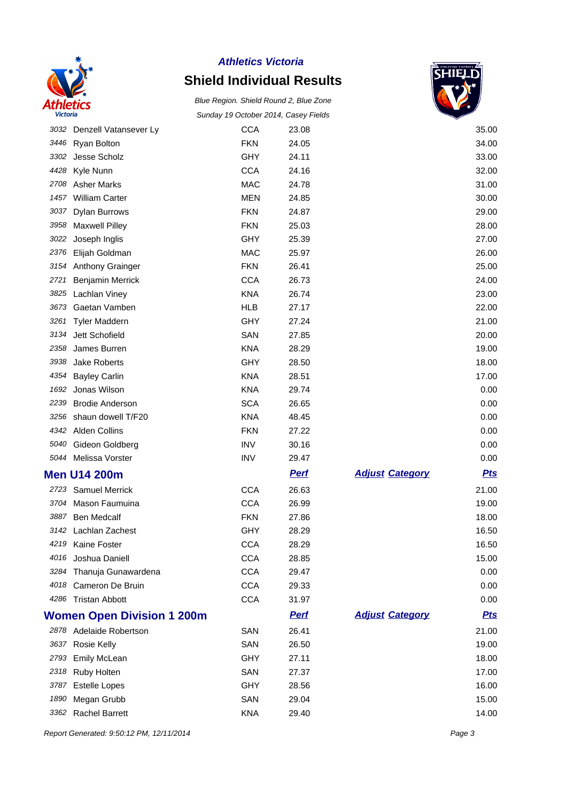

### **Shield Individual Results**

Blue Region. Shield Round 2, Blue Zone Sunday 19 October 2014, Casey Fields



|      | 3032 Denzell Vatansever Ly        | <b>CCA</b> | 23.08       |                        | 35.00      |
|------|-----------------------------------|------------|-------------|------------------------|------------|
| 3446 | <b>Ryan Bolton</b>                | <b>FKN</b> | 24.05       |                        | 34.00      |
| 3302 | Jesse Scholz                      | GHY        | 24.11       |                        | 33.00      |
| 4428 | Kyle Nunn                         | <b>CCA</b> | 24.16       |                        | 32.00      |
|      | 2708 Asher Marks                  | <b>MAC</b> | 24.78       |                        | 31.00      |
| 1457 | <b>William Carter</b>             | <b>MEN</b> | 24.85       |                        | 30.00      |
| 3037 | <b>Dylan Burrows</b>              | <b>FKN</b> | 24.87       |                        | 29.00      |
| 3958 | <b>Maxwell Pilley</b>             | <b>FKN</b> | 25.03       |                        | 28.00      |
| 3022 | Joseph Inglis                     | GHY        | 25.39       |                        | 27.00      |
| 2376 | Elijah Goldman                    | <b>MAC</b> | 25.97       |                        | 26.00      |
|      | 3154 Anthony Grainger             | <b>FKN</b> | 26.41       |                        | 25.00      |
| 2721 | Benjamin Merrick                  | <b>CCA</b> | 26.73       |                        | 24.00      |
|      | 3825 Lachlan Viney                | <b>KNA</b> | 26.74       |                        | 23.00      |
| 3673 | Gaetan Vamben                     | <b>HLB</b> | 27.17       |                        | 22.00      |
| 3261 | <b>Tyler Maddern</b>              | GHY        | 27.24       |                        | 21.00      |
| 3134 | Jett Schofield                    | SAN        | 27.85       |                        | 20.00      |
| 2358 | James Burren                      | <b>KNA</b> | 28.29       |                        | 19.00      |
| 3938 | Jake Roberts                      | GHY        | 28.50       |                        | 18.00      |
| 4354 | <b>Bayley Carlin</b>              | <b>KNA</b> | 28.51       |                        | 17.00      |
| 1692 | Jonas Wilson                      | <b>KNA</b> | 29.74       |                        | 0.00       |
| 2239 | <b>Brodie Anderson</b>            | <b>SCA</b> | 26.65       |                        | 0.00       |
| 3256 | shaun dowell T/F20                | <b>KNA</b> | 48.45       |                        | 0.00       |
|      | 4342 Alden Collins                | <b>FKN</b> | 27.22       |                        | 0.00       |
| 5040 | Gideon Goldberg                   | <b>INV</b> | 30.16       |                        | 0.00       |
|      | 5044 Melissa Vorster              | <b>INV</b> | 29.47       |                        | 0.00       |
|      | <b>Men U14 200m</b>               |            | <b>Pert</b> | <b>Adjust Category</b> | <b>Pts</b> |
|      | 2723 Samuel Merrick               | <b>CCA</b> | 26.63       |                        | 21.00      |
|      | 3704 Mason Faumuina               | <b>CCA</b> | 26.99       |                        | 19.00      |
|      | 3887 Ben Medcalf                  | <b>FKN</b> | 27.86       |                        | 18.00      |
|      | 3142 Lachlan Zachest              | <b>GHY</b> | 28.29       |                        | 16.50      |
|      | 4219 Kaine Foster                 | <b>CCA</b> | 28.29       |                        | 16.50      |
|      | 4016 Joshua Daniell               | <b>CCA</b> | 28.85       |                        | 15.00      |
|      | 3284 Thanuja Gunawardena          | <b>CCA</b> | 29.47       |                        | 0.00       |
|      | 4018 Cameron De Bruin             | <b>CCA</b> | 29.33       |                        | 0.00       |
|      | 4286 Tristan Abbott               | <b>CCA</b> | 31.97       |                        | 0.00       |
|      | <b>Women Open Division 1 200m</b> |            | <b>Perf</b> | <b>Adjust Category</b> | <u>Pts</u> |
|      | 2878 Adelaide Robertson           | SAN        | 26.41       |                        | 21.00      |
| 3637 | <b>Rosie Kelly</b>                | SAN        | 26.50       |                        | 19.00      |
| 2793 | <b>Emily McLean</b>               | GHY        | 27.11       |                        | 18.00      |
|      | 2318 Ruby Holten                  | SAN        | 27.37       |                        | 17.00      |
| 3787 | <b>Estelle Lopes</b>              | <b>GHY</b> | 28.56       |                        | 16.00      |
| 1890 | Megan Grubb                       | SAN        | 29.04       |                        | 15.00      |
| 3362 | <b>Rachel Barrett</b>             | <b>KNA</b> | 29.40       |                        | 14.00      |

Report Generated: 9:50:12 PM, 12/11/2014 **Page 3**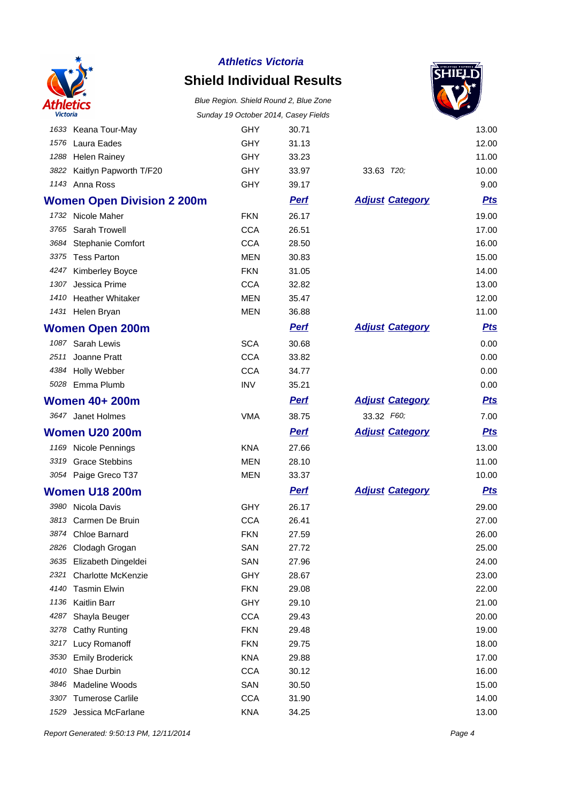

# **Shield Individual Results**

Blue Region. Shield Round 2, Blue Zone Sunday 19 October 2014, Casey Fields



|      |                                   |            | odnady to october 2014, odsey Fictios |                        | ▼          |
|------|-----------------------------------|------------|---------------------------------------|------------------------|------------|
|      | 1633 Keana Tour-May               | <b>GHY</b> | 30.71                                 |                        | 13.00      |
|      | 1576 Laura Eades                  | <b>GHY</b> | 31.13                                 |                        | 12.00      |
|      | 1288 Helen Rainey                 | <b>GHY</b> | 33.23                                 |                        | 11.00      |
|      | 3822 Kaitlyn Papworth T/F20       | <b>GHY</b> | 33.97                                 | 33.63 T20;             | 10.00      |
|      | 1143 Anna Ross                    | <b>GHY</b> | 39.17                                 |                        | 9.00       |
|      | <b>Women Open Division 2 200m</b> |            | <b>Perf</b>                           | <b>Adjust Category</b> | <b>Pts</b> |
|      | 1732 Nicole Maher                 | <b>FKN</b> | 26.17                                 |                        | 19.00      |
|      | 3765 Sarah Trowell                | <b>CCA</b> | 26.51                                 |                        | 17.00      |
|      | 3684 Stephanie Comfort            | <b>CCA</b> | 28.50                                 |                        | 16.00      |
|      | 3375 Tess Parton                  | <b>MEN</b> | 30.83                                 |                        | 15.00      |
|      | 4247 Kimberley Boyce              | <b>FKN</b> | 31.05                                 |                        | 14.00      |
| 1307 | Jessica Prime                     | <b>CCA</b> | 32.82                                 |                        | 13.00      |
|      | 1410 Heather Whitaker             | <b>MEN</b> | 35.47                                 |                        | 12.00      |
|      | 1431 Helen Bryan                  | <b>MEN</b> | 36.88                                 |                        | 11.00      |
|      | <b>Women Open 200m</b>            |            | <u>Perf</u>                           | <b>Adjust Category</b> | <u>Pts</u> |
|      | 1087 Sarah Lewis                  | <b>SCA</b> | 30.68                                 |                        | 0.00       |
|      | 2511 Joanne Pratt                 | <b>CCA</b> | 33.82                                 |                        | 0.00       |
|      | 4384 Holly Webber                 | <b>CCA</b> | 34.77                                 |                        | 0.00       |
|      | 5028 Emma Plumb                   | <b>INV</b> | 35.21                                 |                        | 0.00       |
|      | <b>Women 40+ 200m</b>             |            | <b>Perf</b>                           | <b>Adjust Category</b> | <b>Pts</b> |
|      | 3647 Janet Holmes                 | <b>VMA</b> | 38.75                                 | 33.32 F60;             | 7.00       |
|      | <b>Women U20 200m</b>             |            | <b>Pert</b>                           | <b>Adjust Category</b> | <b>Pts</b> |
|      | 1169 Nicole Pennings              | <b>KNA</b> | 27.66                                 |                        | 13.00      |
|      | 3319 Grace Stebbins               | <b>MEN</b> | 28.10                                 |                        | 11.00      |
|      | 3054 Paige Greco T37              | MEN        | 33.37                                 |                        | 10.00      |
|      | <b>Women U18 200m</b>             |            | <b>Perf</b>                           | <b>Adjust Category</b> | <u>Pts</u> |
|      | 3980 Nicola Davis                 | <b>GHY</b> | 26.17                                 |                        | 29.00      |
|      | 3813 Carmen De Bruin              | <b>CCA</b> | 26.41                                 |                        | 27.00      |
|      | 3874 Chloe Barnard                | <b>FKN</b> | 27.59                                 |                        | 26.00      |
| 2826 | Clodagh Grogan                    | SAN        | 27.72                                 |                        | 25.00      |
| 3635 | Elizabeth Dingeldei               | SAN        | 27.96                                 |                        | 24.00      |
| 2321 | <b>Charlotte McKenzie</b>         | <b>GHY</b> | 28.67                                 |                        | 23.00      |
| 4140 | <b>Tasmin Elwin</b>               | <b>FKN</b> | 29.08                                 |                        | 22.00      |
| 1136 | Kaitlin Barr                      | GHY        | 29.10                                 |                        | 21.00      |
| 4287 | Shayla Beuger                     | <b>CCA</b> | 29.43                                 |                        | 20.00      |
| 3278 | <b>Cathy Runting</b>              | <b>FKN</b> | 29.48                                 |                        | 19.00      |
| 3217 | Lucy Romanoff                     | <b>FKN</b> | 29.75                                 |                        | 18.00      |
| 3530 | <b>Emily Broderick</b>            | <b>KNA</b> | 29.88                                 |                        | 17.00      |
| 4010 | Shae Durbin                       | <b>CCA</b> | 30.12                                 |                        | 16.00      |
| 3846 | Madeline Woods                    | SAN        | 30.50                                 |                        | 15.00      |
| 3307 | <b>Tumerose Carlile</b>           | <b>CCA</b> | 31.90                                 |                        | 14.00      |
| 1529 | Jessica McFarlane                 | KNA        | 34.25                                 |                        | 13.00      |

Report Generated: 9:50:13 PM, 12/11/2014 Page 4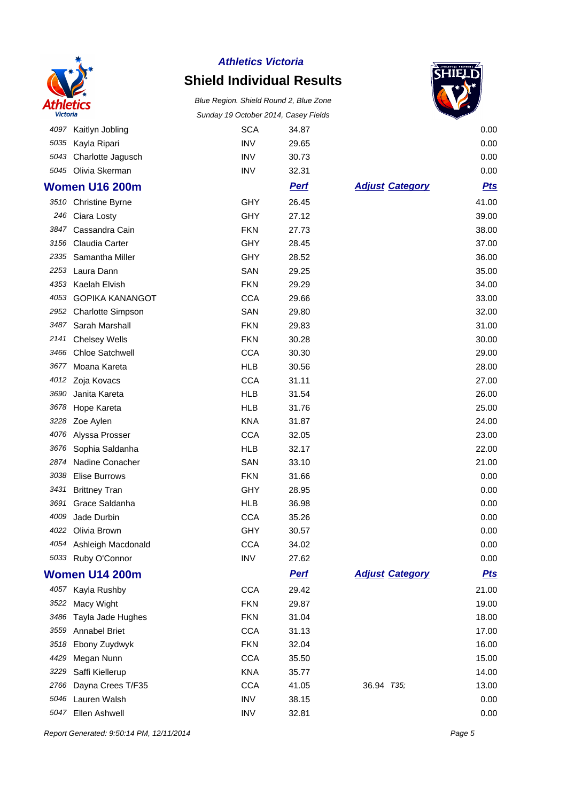

### **Shield Individual Results**

Blue Region. Shield Round 2, Blue Zone Sunday 19 October 2014, Casey Fields



|      |                          | odnády To October 2014, Odsey Fictios |             |                        | ▼          |
|------|--------------------------|---------------------------------------|-------------|------------------------|------------|
|      | 4097 Kaitlyn Jobling     | <b>SCA</b>                            | 34.87       |                        | 0.00       |
| 5035 | Kayla Ripari             | <b>INV</b>                            | 29.65       |                        | 0.00       |
| 5043 | Charlotte Jagusch        | <b>INV</b>                            | 30.73       |                        | 0.00       |
|      | 5045 Olivia Skerman      | <b>INV</b>                            | 32.31       |                        | 0.00       |
|      | <b>Women U16 200m</b>    |                                       | <b>Pert</b> | <b>Adjust Category</b> | <b>Pts</b> |
|      | 3510 Christine Byrne     | <b>GHY</b>                            | 26.45       |                        | 41.00      |
| 246  | Ciara Losty              | GHY                                   | 27.12       |                        | 39.00      |
| 3847 | Cassandra Cain           | <b>FKN</b>                            | 27.73       |                        | 38.00      |
| 3156 | Claudia Carter           | <b>GHY</b>                            | 28.45       |                        | 37.00      |
| 2335 | Samantha Miller          | <b>GHY</b>                            | 28.52       |                        | 36.00      |
| 2253 | Laura Dann               | SAN                                   | 29.25       |                        | 35.00      |
| 4353 | Kaelah Elvish            | <b>FKN</b>                            | 29.29       |                        | 34.00      |
| 4053 | <b>GOPIKA KANANGOT</b>   | <b>CCA</b>                            | 29.66       |                        | 33.00      |
| 2952 | <b>Charlotte Simpson</b> | SAN                                   | 29.80       |                        | 32.00      |
| 3487 | Sarah Marshall           | <b>FKN</b>                            | 29.83       |                        | 31.00      |
| 2141 | <b>Chelsey Wells</b>     | <b>FKN</b>                            | 30.28       |                        | 30.00      |
| 3466 | <b>Chloe Satchwell</b>   | <b>CCA</b>                            | 30.30       |                        | 29.00      |
| 3677 | Moana Kareta             | <b>HLB</b>                            | 30.56       |                        | 28.00      |
| 4012 | Zoja Kovacs              | <b>CCA</b>                            | 31.11       |                        | 27.00      |
| 3690 | Janita Kareta            | <b>HLB</b>                            | 31.54       |                        | 26.00      |
| 3678 | Hope Kareta              | <b>HLB</b>                            | 31.76       |                        | 25.00      |
| 3228 | Zoe Aylen                | <b>KNA</b>                            | 31.87       |                        | 24.00      |
| 4076 | Alyssa Prosser           | <b>CCA</b>                            | 32.05       |                        | 23.00      |
| 3676 | Sophia Saldanha          | <b>HLB</b>                            | 32.17       |                        | 22.00      |
| 2874 | Nadine Conacher          | SAN                                   | 33.10       |                        | 21.00      |
| 3038 | <b>Elise Burrows</b>     | <b>FKN</b>                            | 31.66       |                        | 0.00       |
| 3431 | <b>Brittney Tran</b>     | GHY                                   | 28.95       |                        | 0.00       |
| 3691 | Grace Saldanha           | <b>HLB</b>                            | 36.98       |                        | 0.00       |
| 4009 | Jade Durbin              | <b>CCA</b>                            | 35.26       |                        | 0.00       |
|      | 4022 Olivia Brown        | GHY                                   | 30.57       |                        | 0.00       |
| 4054 | Ashleigh Macdonald       | <b>CCA</b>                            | 34.02       |                        | 0.00       |
|      | 5033 Ruby O'Connor       | <b>INV</b>                            | 27.62       |                        | 0.00       |
|      | <b>Women U14 200m</b>    |                                       | <b>Perf</b> | <b>Adjust Category</b> | <b>Pts</b> |
|      | 4057 Kayla Rushby        | <b>CCA</b>                            | 29.42       |                        | 21.00      |
| 3522 | Macy Wight               | <b>FKN</b>                            | 29.87       |                        | 19.00      |
| 3486 | Tayla Jade Hughes        | <b>FKN</b>                            | 31.04       |                        | 18.00      |
| 3559 | <b>Annabel Briet</b>     | <b>CCA</b>                            | 31.13       |                        | 17.00      |
| 3518 | Ebony Zuydwyk            | <b>FKN</b>                            | 32.04       |                        | 16.00      |
| 4429 | Megan Nunn               | <b>CCA</b>                            | 35.50       |                        | 15.00      |
| 3229 | Saffi Kiellerup          | <b>KNA</b>                            | 35.77       |                        | 14.00      |
| 2766 | Dayna Crees T/F35        | <b>CCA</b>                            | 41.05       | 36.94 T35;             | 13.00      |
| 5046 | Lauren Walsh             | <b>INV</b>                            | 38.15       |                        | 0.00       |
| 5047 | Ellen Ashwell            | <b>INV</b>                            | 32.81       |                        | 0.00       |

Report Generated: 9:50:14 PM, 12/11/2014 **Page 5**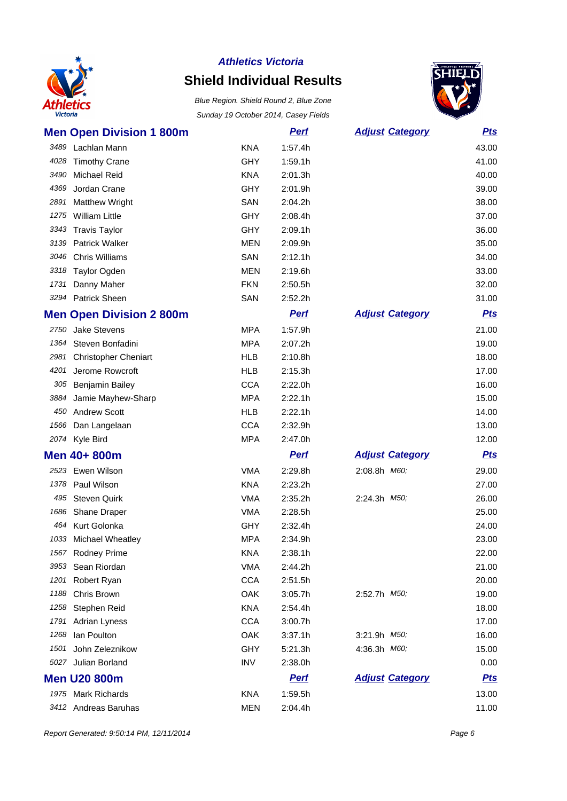

### **Shield Individual Results**



| <b>Men Open Division 1 800m</b>     |            | <b>Perf</b> | <b>Adjust Category</b> | <b>Pts</b> |
|-------------------------------------|------------|-------------|------------------------|------------|
| 3489<br>Lachlan Mann                | <b>KNA</b> | 1:57.4h     |                        | 43.00      |
| 4028<br><b>Timothy Crane</b>        | GHY        | 1:59.1h     |                        | 41.00      |
| 3490<br><b>Michael Reid</b>         | <b>KNA</b> | 2:01.3h     |                        | 40.00      |
| 4369<br>Jordan Crane                | <b>GHY</b> | 2:01.9h     |                        | 39.00      |
| 2891<br><b>Matthew Wright</b>       | SAN        | 2:04.2h     |                        | 38.00      |
| 1275<br><b>William Little</b>       | GHY        | 2:08.4h     |                        | 37.00      |
| 3343<br><b>Travis Taylor</b>        | <b>GHY</b> | 2:09.1h     |                        | 36.00      |
| 3139 Patrick Walker                 | <b>MEN</b> | 2:09.9h     |                        | 35.00      |
| 3046 Chris Williams                 | SAN        | 2:12.1h     |                        | 34.00      |
| <b>Taylor Ogden</b><br>3318         | <b>MEN</b> | 2:19.6h     |                        | 33.00      |
| 1731<br>Danny Maher                 | <b>FKN</b> | 2:50.5h     |                        | 32.00      |
| 3294 Patrick Sheen                  | SAN        | 2:52.2h     |                        | 31.00      |
| <b>Men Open Division 2 800m</b>     |            | <b>Perf</b> | <b>Adjust Category</b> | <b>Pts</b> |
| Jake Stevens<br>2750                | <b>MPA</b> | 1:57.9h     |                        | 21.00      |
| 1364<br>Steven Bonfadini            | <b>MPA</b> | 2:07.2h     |                        | 19.00      |
| 2981<br><b>Christopher Cheniart</b> | <b>HLB</b> | 2:10.8h     |                        | 18.00      |
| 4201<br>Jerome Rowcroft             | <b>HLB</b> | 2:15.3h     |                        | 17.00      |
| 305<br>Benjamin Bailey              | <b>CCA</b> | 2:22.0h     |                        | 16.00      |
| Jamie Mayhew-Sharp<br>3884          | <b>MPA</b> | 2:22.1h     |                        | 15.00      |
| <b>Andrew Scott</b><br>450          | <b>HLB</b> | 2:22.1h     |                        | 14.00      |
| 1566<br>Dan Langelaan               | <b>CCA</b> | 2:32.9h     |                        | 13.00      |
| 2074 Kyle Bird                      | <b>MPA</b> | 2:47.0h     |                        | 12.00      |
| Men 40+800m                         |            | <b>Perf</b> | <b>Adjust Category</b> | <b>Pts</b> |
| 2523 Ewen Wilson                    | <b>VMA</b> | 2:29.8h     | 2:08.8h M60;           | 29.00      |
| 1378<br>Paul Wilson                 | <b>KNA</b> | 2:23.2h     |                        | 27.00      |
| 495<br><b>Steven Quirk</b>          | <b>VMA</b> | 2:35.2h     | 2:24.3h M50;           | 26.00      |
| Shane Draper<br>1686                | <b>VMA</b> | 2:28.5h     |                        | 25.00      |
| Kurt Golonka<br>464                 | <b>GHY</b> | 2:32.4h     |                        | 24.00      |
| 1033 Michael Wheatley               | <b>MPA</b> | 2:34.9h     |                        | 23.00      |
| 1567 Rodney Prime                   | <b>KNA</b> | 2:38.1h     |                        | 22.00      |
| Sean Riordan<br>3953                | <b>VMA</b> | 2:44.2h     |                        | 21.00      |
| Robert Ryan<br>1201                 | <b>CCA</b> | 2:51.5h     |                        | 20.00      |
| 1188<br>Chris Brown                 | OAK        | 3:05.7h     | 2:52.7h <i>M50</i> ;   | 19.00      |
| 1258<br>Stephen Reid                | <b>KNA</b> | 2:54.4h     |                        | 18.00      |
| <b>Adrian Lyness</b><br>1791        | CCA        | 3:00.7h     |                        | 17.00      |
| Ian Poulton<br>1268                 | OAK        | 3:37.1h     | 3:21.9h M50;           | 16.00      |
| John Zeleznikow<br>1501             | <b>GHY</b> | 5:21.3h     | 4:36.3h M60;           | 15.00      |
| 5027 Julian Borland                 | <b>INV</b> | 2:38.0h     |                        | 0.00       |
| <b>Men U20 800m</b>                 |            | <b>Perf</b> | <b>Adjust Category</b> | <u>Pts</u> |
| 1975 Mark Richards                  | <b>KNA</b> | 1:59.5h     |                        | 13.00      |
| 3412 Andreas Baruhas                | <b>MEN</b> | 2:04.4h     |                        | 11.00      |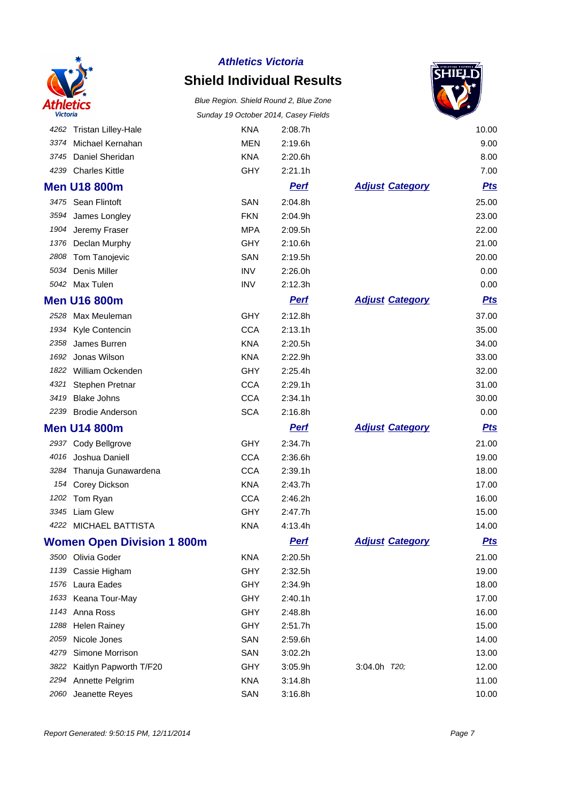

### **Shield Individual Results**



|      |                                   | Sanday To October 2014, Odsey Fiction |             |                        | ▼          |
|------|-----------------------------------|---------------------------------------|-------------|------------------------|------------|
|      | 4262 Tristan Lilley-Hale          | <b>KNA</b>                            | 2:08.7h     |                        | 10.00      |
| 3374 | Michael Kernahan                  | <b>MEN</b>                            | 2:19.6h     |                        | 9.00       |
| 3745 | Daniel Sheridan                   | <b>KNA</b>                            | 2:20.6h     |                        | 8.00       |
| 4239 | <b>Charles Kittle</b>             | <b>GHY</b>                            | 2:21.1h     |                        | 7.00       |
|      | <b>Men U18 800m</b>               |                                       | <b>Perf</b> | <b>Adjust Category</b> | <u>Pts</u> |
| 3475 | Sean Flintoft                     | SAN                                   | 2:04.8h     |                        | 25.00      |
| 3594 | James Longley                     | <b>FKN</b>                            | 2:04.9h     |                        | 23.00      |
| 1904 | Jeremy Fraser                     | <b>MPA</b>                            | 2:09.5h     |                        | 22.00      |
| 1376 | Declan Murphy                     | <b>GHY</b>                            | 2:10.6h     |                        | 21.00      |
| 2808 | Tom Tanojevic                     | SAN                                   | 2:19.5h     |                        | 20.00      |
| 5034 | Denis Miller                      | <b>INV</b>                            | 2:26.0h     |                        | 0.00       |
| 5042 | Max Tulen                         | <b>INV</b>                            | 2:12.3h     |                        | 0.00       |
|      | <b>Men U16 800m</b>               |                                       | <b>Perf</b> | <b>Adjust Category</b> | <u>Pts</u> |
| 2528 | Max Meuleman                      | <b>GHY</b>                            | 2:12.8h     |                        | 37.00      |
| 1934 | Kyle Contencin                    | <b>CCA</b>                            | 2:13.1h     |                        | 35.00      |
| 2358 | James Burren                      | <b>KNA</b>                            | 2:20.5h     |                        | 34.00      |
| 1692 | Jonas Wilson                      | <b>KNA</b>                            | 2:22.9h     |                        | 33.00      |
| 1822 | William Ockenden                  | GHY                                   | 2:25.4h     |                        | 32.00      |
| 4321 | Stephen Pretnar                   | <b>CCA</b>                            | 2:29.1h     |                        | 31.00      |
| 3419 | <b>Blake Johns</b>                | <b>CCA</b>                            | 2:34.1h     |                        | 30.00      |
| 2239 | <b>Brodie Anderson</b>            | <b>SCA</b>                            | 2:16.8h     |                        | 0.00       |
|      | <b>Men U14 800m</b>               |                                       | <b>Perf</b> | <b>Adjust Category</b> | <u>Pts</u> |
| 2937 | Cody Bellgrove                    | <b>GHY</b>                            | 2:34.7h     |                        | 21.00      |
| 4016 | Joshua Daniell                    | <b>CCA</b>                            | 2:36.6h     |                        | 19.00      |
| 3284 | Thanuja Gunawardena               | <b>CCA</b>                            | 2:39.1h     |                        | 18.00      |
| 154  | Corey Dickson                     | <b>KNA</b>                            | 2:43.7h     |                        | 17.00      |
| 1202 | Tom Ryan                          | <b>CCA</b>                            | 2:46.2h     |                        | 16.00      |
| 3345 | Liam Glew                         | <b>GHY</b>                            | 2:47.7h     |                        | 15.00      |
| 4222 | <b>MICHAEL BATTISTA</b>           | <b>KNA</b>                            | 4:13.4h     |                        | 14.00      |
|      | <b>Women Open Division 1 800m</b> |                                       | <u>Perf</u> | <b>Adiust Category</b> | <u>Pts</u> |
| 3500 | Olivia Goder                      | <b>KNA</b>                            | 2:20.5h     |                        | 21.00      |
| 1139 | Cassie Higham                     | <b>GHY</b>                            | 2:32.5h     |                        | 19.00      |
| 1576 | Laura Eades                       | GHY                                   | 2:34.9h     |                        | 18.00      |
| 1633 | Keana Tour-May                    | <b>GHY</b>                            | 2:40.1h     |                        | 17.00      |
| 1143 | Anna Ross                         | <b>GHY</b>                            | 2:48.8h     |                        | 16.00      |
| 1288 | <b>Helen Rainey</b>               | <b>GHY</b>                            | 2:51.7h     |                        | 15.00      |
| 2059 | Nicole Jones                      | SAN                                   | 2:59.6h     |                        | 14.00      |
| 4279 | Simone Morrison                   | SAN                                   | 3:02.2h     |                        | 13.00      |
| 3822 | Kaitlyn Papworth T/F20            | <b>GHY</b>                            | 3:05.9h     | 3:04.0h T20;           | 12.00      |
| 2294 | Annette Pelgrim                   | <b>KNA</b>                            | 3:14.8h     |                        | 11.00      |
| 2060 | Jeanette Reyes                    | SAN                                   | 3:16.8h     |                        | 10.00      |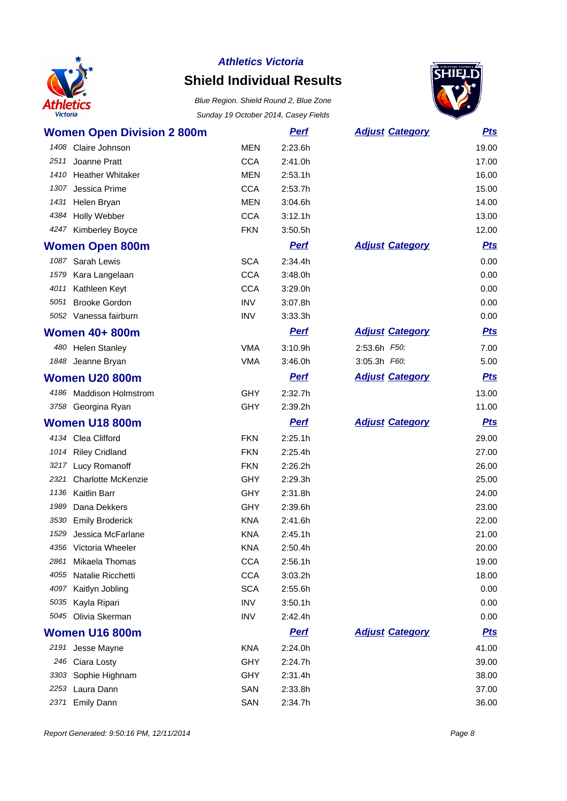

### **Shield Individual Results**



|      | <b>Women Open Division 2 800m</b> |            | <b>Perf</b> | <b>Adjust Category</b> | <b>Pts</b> |
|------|-----------------------------------|------------|-------------|------------------------|------------|
| 1408 | Claire Johnson                    | <b>MEN</b> | 2:23.6h     |                        | 19.00      |
| 2511 | Joanne Pratt                      | <b>CCA</b> | 2:41.0h     |                        | 17.00      |
|      | 1410 Heather Whitaker             | <b>MEN</b> | 2:53.1h     |                        | 16.00      |
| 1307 | Jessica Prime                     | <b>CCA</b> | 2:53.7h     |                        | 15.00      |
| 1431 | Helen Bryan                       | <b>MEN</b> | 3:04.6h     |                        | 14.00      |
| 4384 | Holly Webber                      | <b>CCA</b> | 3:12.1h     |                        | 13.00      |
|      | 4247 Kimberley Boyce              | <b>FKN</b> | 3:50.5h     |                        | 12.00      |
|      | <b>Women Open 800m</b>            |            | <b>Perf</b> | <b>Adjust Category</b> | <b>Pts</b> |
| 1087 | Sarah Lewis                       | <b>SCA</b> | 2:34.4h     |                        | 0.00       |
| 1579 | Kara Langelaan                    | <b>CCA</b> | 3:48.0h     |                        | 0.00       |
| 4011 | Kathleen Keyt                     | <b>CCA</b> | 3:29.0h     |                        | 0.00       |
|      | 5051 Brooke Gordon                | <b>INV</b> | 3:07.8h     |                        | 0.00       |
|      | 5052 Vanessa fairburn             | <b>INV</b> | 3:33.3h     |                        | 0.00       |
|      | <b>Women 40+ 800m</b>             |            | <b>Perf</b> | <b>Adjust Category</b> | <b>Pts</b> |
|      | 480 Helen Stanley                 | <b>VMA</b> | 3:10.9h     | 2:53.6h F50;           | 7.00       |
|      | 1848 Jeanne Bryan                 | <b>VMA</b> | 3:46.0h     | 3:05.3h F60;           | 5.00       |
|      | <b>Women U20 800m</b>             |            | <b>Perf</b> | <b>Adjust Category</b> | <b>Pts</b> |
|      | 4186 Maddison Holmstrom           | <b>GHY</b> | 2:32.7h     |                        | 13.00      |
|      | 3758 Georgina Ryan                | <b>GHY</b> | 2:39.2h     |                        | 11.00      |
|      |                                   |            |             |                        |            |
|      | <b>Women U18 800m</b>             |            | <b>Perf</b> | <b>Adjust Category</b> | <u>Pts</u> |
|      | 4134 Clea Clifford                | <b>FKN</b> | 2:25.1h     |                        | 29.00      |
|      | 1014 Riley Cridland               | <b>FKN</b> | 2:25.4h     |                        | 27.00      |
|      | 3217 Lucy Romanoff                | <b>FKN</b> | 2:26.2h     |                        | 26.00      |
|      | 2321 Charlotte McKenzie           | <b>GHY</b> | 2:29.3h     |                        | 25.00      |
| 1136 | <b>Kaitlin Barr</b>               | <b>GHY</b> | 2:31.8h     |                        | 24.00      |
| 1989 | Dana Dekkers                      | <b>GHY</b> | 2:39.6h     |                        | 23.00      |
| 3530 | <b>Emily Broderick</b>            | <b>KNA</b> | 2:41.6h     |                        | 22.00      |
| 1529 | Jessica McFarlane                 | <b>KNA</b> | 2:45.1h     |                        | 21.00      |
|      | 4356 Victoria Wheeler             | <b>KNA</b> | 2:50.4h     |                        | 20.00      |
| 2861 | Mikaela Thomas                    | <b>CCA</b> | 2:56.1h     |                        | 19.00      |
| 4055 | Natalie Ricchetti                 | <b>CCA</b> | 3:03.2h     |                        | 18.00      |
| 4097 | Kaitlyn Jobling                   | <b>SCA</b> | 2:55.6h     |                        | 0.00       |
| 5035 | Kayla Ripari                      | <b>INV</b> | 3:50.1h     |                        | 0.00       |
|      | 5045 Olivia Skerman               | <b>INV</b> | 2:42.4h     |                        | 0.00       |
|      | Women U16 800m                    |            | <u>Perf</u> | <b>Adjust Category</b> | <u>Pts</u> |
|      | 2191 Jesse Mayne                  | <b>KNA</b> | 2:24.0h     |                        | 41.00      |
|      | 246 Ciara Losty                   | <b>GHY</b> | 2:24.7h     |                        | 39.00      |
| 3303 | Sophie Highnam                    | GHY        | 2:31.4h     |                        | 38.00      |
| 2253 | Laura Dann                        | SAN        | 2:33.8h     |                        | 37.00      |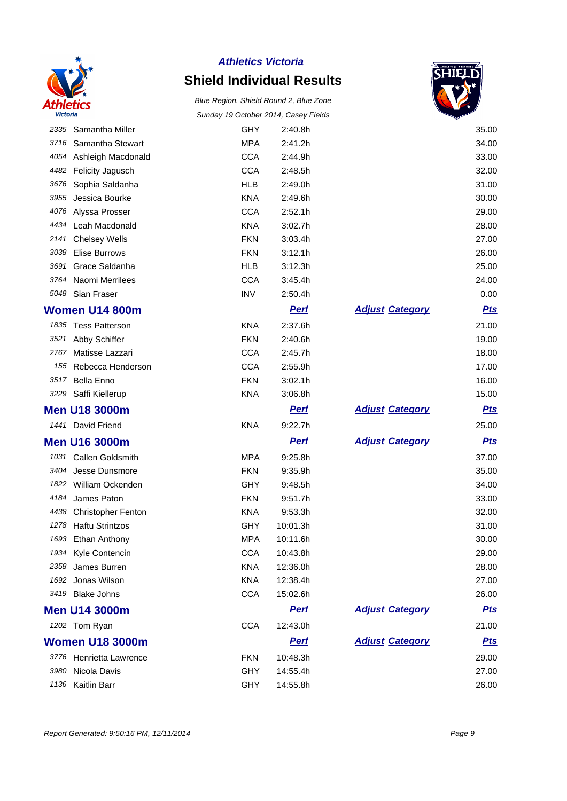

## **Shield Individual Results**



|      |                           |            |             |                        | ▽          |
|------|---------------------------|------------|-------------|------------------------|------------|
| 2335 | Samantha Miller           | <b>GHY</b> | 2:40.8h     |                        | 35.00      |
| 3716 | Samantha Stewart          | <b>MPA</b> | 2:41.2h     |                        | 34.00      |
| 4054 | Ashleigh Macdonald        | <b>CCA</b> | 2:44.9h     |                        | 33.00      |
| 4482 | Felicity Jagusch          | <b>CCA</b> | 2:48.5h     |                        | 32.00      |
| 3676 | Sophia Saldanha           | <b>HLB</b> | 2:49.0h     |                        | 31.00      |
| 3955 | Jessica Bourke            | <b>KNA</b> | 2:49.6h     |                        | 30.00      |
| 4076 | Alyssa Prosser            | <b>CCA</b> | 2:52.1h     |                        | 29.00      |
|      | 4434 Leah Macdonald       | <b>KNA</b> | 3:02.7h     |                        | 28.00      |
| 2141 | <b>Chelsey Wells</b>      | <b>FKN</b> | 3:03.4h     |                        | 27.00      |
| 3038 | <b>Elise Burrows</b>      | <b>FKN</b> | 3:12.1h     |                        | 26.00      |
| 3691 | Grace Saldanha            | <b>HLB</b> | 3:12.3h     |                        | 25.00      |
| 3764 | Naomi Merrilees           | <b>CCA</b> | 3:45.4h     |                        | 24.00      |
|      | 5048 Sian Fraser          | <b>INV</b> | 2:50.4h     |                        | 0.00       |
|      | Women U14 800m            |            | <b>Perf</b> | <b>Adjust Category</b> | <b>Pts</b> |
|      | 1835 Tess Patterson       | <b>KNA</b> | 2:37.6h     |                        | 21.00      |
| 3521 | Abby Schiffer             | <b>FKN</b> | 2:40.6h     |                        | 19.00      |
| 2767 | Matisse Lazzari           | <b>CCA</b> | 2:45.7h     |                        | 18.00      |
| 155  | Rebecca Henderson         | <b>CCA</b> | 2:55.9h     |                        | 17.00      |
| 3517 | <b>Bella Enno</b>         | <b>FKN</b> | 3:02.1h     |                        | 16.00      |
| 3229 | Saffi Kiellerup           | <b>KNA</b> | 3:06.8h     |                        | 15.00      |
|      | <b>Men U18 3000m</b>      |            | <b>Pert</b> | <b>Adjust Category</b> | <u>Pts</u> |
| 1441 | David Friend              | <b>KNA</b> | 9:22.7h     |                        | 25.00      |
|      | <b>Men U16 3000m</b>      |            | <b>Perf</b> | <b>Adjust Category</b> | <b>Pts</b> |
| 1031 | Callen Goldsmith          | <b>MPA</b> | 9:25.8h     |                        | 37.00      |
| 3404 | Jesse Dunsmore            | <b>FKN</b> | 9:35.9h     |                        | 35.00      |
| 1822 | William Ockenden          | GHY        | 9:48.5h     |                        | 34.00      |
| 4184 | James Paton               | <b>FKN</b> | 9:51.7h     |                        | 33.00      |
| 4438 | <b>Christopher Fenton</b> | <b>KNA</b> | 9:53.3h     |                        | 32.00      |
| 1278 | <b>Haftu Strintzos</b>    | GHY        | 10:01.3h    |                        | 31.00      |
| 1693 | Ethan Anthony             | <b>MPA</b> | 10:11.6h    |                        | 30.00      |
|      | 1934 Kyle Contencin       | <b>CCA</b> | 10:43.8h    |                        | 29.00      |
| 2358 | James Burren              | <b>KNA</b> | 12:36.0h    |                        | 28.00      |
| 1692 | Jonas Wilson              | <b>KNA</b> | 12:38.4h    |                        | 27.00      |
| 3419 | <b>Blake Johns</b>        | <b>CCA</b> | 15:02.6h    |                        | 26.00      |
|      | <b>Men U14 3000m</b>      |            | <b>Perf</b> | <b>Adjust Category</b> | <u>Pts</u> |
|      | 1202 Tom Ryan             | <b>CCA</b> | 12:43.0h    |                        | 21.00      |
|      | <b>Women U18 3000m</b>    |            | <b>Perf</b> | <b>Adjust Category</b> | <u>Pts</u> |
|      |                           |            |             |                        |            |
|      | 3776 Henrietta Lawrence   | <b>FKN</b> | 10:48.3h    |                        | 29.00      |
| 3980 | Nicola Davis              | GHY        | 14:55.4h    |                        | 27.00      |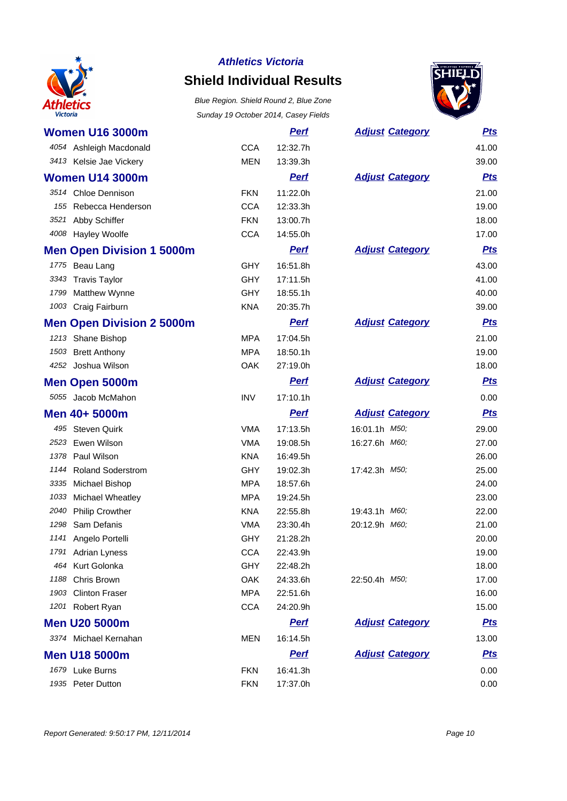

### **Shield Individual Results**



|      | <b>Women U16 3000m</b>           |            | <b>Perf</b> | <b>Adjust Category</b> | <b>Pts</b> |
|------|----------------------------------|------------|-------------|------------------------|------------|
|      | 4054 Ashleigh Macdonald          | <b>CCA</b> | 12:32.7h    |                        | 41.00      |
|      | 3413 Kelsie Jae Vickery          | <b>MEN</b> | 13:39.3h    |                        | 39.00      |
|      | <b>Women U14 3000m</b>           |            | <u>Perf</u> | <b>Adjust Category</b> | <b>Pts</b> |
|      | 3514 Chloe Dennison              | <b>FKN</b> | 11:22.0h    |                        | 21.00      |
| 155  | Rebecca Henderson                | <b>CCA</b> | 12:33.3h    |                        | 19.00      |
|      | 3521 Abby Schiffer               | <b>FKN</b> | 13:00.7h    |                        | 18.00      |
|      | 4008 Hayley Woolfe               | <b>CCA</b> | 14:55.0h    |                        | 17.00      |
|      | <b>Men Open Division 1 5000m</b> |            | <b>Perf</b> | <b>Adjust Category</b> | <u>Pts</u> |
|      | 1775 Beau Lang                   | <b>GHY</b> | 16:51.8h    |                        | 43.00      |
|      | 3343 Travis Taylor               | <b>GHY</b> | 17:11.5h    |                        | 41.00      |
|      | 1799 Matthew Wynne               | <b>GHY</b> | 18:55.1h    |                        | 40.00      |
|      | 1003 Craig Fairburn              | <b>KNA</b> | 20:35.7h    |                        | 39.00      |
|      | <b>Men Open Division 2 5000m</b> |            | <b>Perf</b> | <b>Adjust Category</b> | <u>Pts</u> |
|      | 1213 Shane Bishop                | <b>MPA</b> | 17:04.5h    |                        | 21.00      |
|      | 1503 Brett Anthony               | <b>MPA</b> | 18:50.1h    |                        | 19.00      |
|      | 4252 Joshua Wilson               | <b>OAK</b> | 27:19.0h    |                        | 18.00      |
|      | <b>Men Open 5000m</b>            |            | <b>Perf</b> | <b>Adjust Category</b> | <b>Pts</b> |
|      | 5055 Jacob McMahon               | <b>INV</b> | 17:10.1h    |                        | 0.00       |
|      | Men 40+ 5000m                    |            | <b>Perf</b> | <b>Adjust Category</b> | <u>Pts</u> |
|      | 495 Steven Quirk                 | <b>VMA</b> | 17:13.5h    | 16:01.1h M50;          | 29.00      |
| 2523 | Ewen Wilson                      | <b>VMA</b> | 19:08.5h    | 16:27.6h M60;          | 27.00      |
| 1378 | Paul Wilson                      | <b>KNA</b> | 16:49.5h    |                        | 26.00      |
| 1144 | <b>Roland Soderstrom</b>         | <b>GHY</b> | 19:02.3h    | 17:42.3h M50;          | 25.00      |
|      | 3335 Michael Bishop              | <b>MPA</b> | 18:57.6h    |                        | 24.00      |
| 1033 | Michael Wheatley                 | <b>MPA</b> | 19:24.5h    |                        | 23.00      |
| 2040 | <b>Philip Crowther</b>           | <b>KNA</b> | 22:55.8h    | 19:43.1h M60;          | 22.00      |
| 1298 | Sam Defanis                      | <b>VMA</b> | 23:30.4h    | 20:12.9h M60;          | 21.00      |
|      | 1141 Angelo Portelli             | GHY        | 21:28.2h    |                        | 20.00      |
|      | 1791 Adrian Lyness               | <b>CCA</b> | 22:43.9h    |                        | 19.00      |
| 464  | Kurt Golonka                     | <b>GHY</b> | 22:48.2h    |                        | 18.00      |
| 1188 | Chris Brown                      | OAK        | 24:33.6h    | 22:50.4h M50;          | 17.00      |
| 1903 | <b>Clinton Fraser</b>            | <b>MPA</b> | 22:51.6h    |                        | 16.00      |
|      | 1201 Robert Ryan                 | <b>CCA</b> | 24:20.9h    |                        | 15.00      |
|      | <b>Men U20 5000m</b>             |            | <b>Pert</b> | <b>Adjust Category</b> | <u>Pts</u> |
|      | 3374 Michael Kernahan            | MEN        | 16:14.5h    |                        | 13.00      |
|      | <b>Men U18 5000m</b>             |            | <b>Perf</b> | <b>Adjust Category</b> | <u>Pts</u> |
|      | 1679 Luke Burns                  | <b>FKN</b> | 16:41.3h    |                        | 0.00       |
|      | 1935 Peter Dutton                | <b>FKN</b> | 17:37.0h    |                        | 0.00       |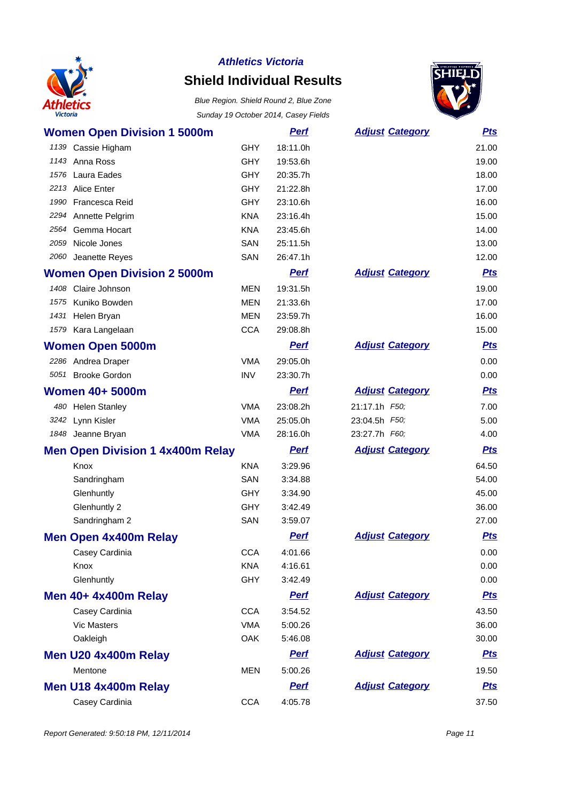

# **Shield Individual Results**



| <b>Women Open Division 1 5000m</b>      |            | <b>Perf</b> | <b>Adjust Category</b> | <u>Pts</u> |
|-----------------------------------------|------------|-------------|------------------------|------------|
| 1139 Cassie Higham                      | <b>GHY</b> | 18:11.0h    |                        | 21.00      |
| 1143 Anna Ross                          | <b>GHY</b> | 19:53.6h    |                        | 19.00      |
| 1576 Laura Eades                        | <b>GHY</b> | 20:35.7h    |                        | 18.00      |
| 2213 Alice Enter                        | <b>GHY</b> | 21:22.8h    |                        | 17.00      |
| Francesca Reid<br>1990                  | <b>GHY</b> | 23:10.6h    |                        | 16.00      |
| 2294 Annette Pelgrim                    | <b>KNA</b> | 23:16.4h    |                        | 15.00      |
| 2564 Gemma Hocart                       | <b>KNA</b> | 23:45.6h    |                        | 14.00      |
| 2059 Nicole Jones                       | SAN        | 25:11.5h    |                        | 13.00      |
| 2060 Jeanette Reyes                     | SAN        | 26:47.1h    |                        | 12.00      |
| <b>Women Open Division 2 5000m</b>      |            | <b>Perf</b> | <b>Adjust Category</b> | <b>Pts</b> |
| 1408 Claire Johnson                     | <b>MEN</b> | 19:31.5h    |                        | 19.00      |
| Kuniko Bowden<br>1575                   | <b>MEN</b> | 21:33.6h    |                        | 17.00      |
| 1431<br>Helen Bryan                     | <b>MEN</b> | 23:59.7h    |                        | 16.00      |
| 1579 Kara Langelaan                     | <b>CCA</b> | 29:08.8h    |                        | 15.00      |
| <b>Women Open 5000m</b>                 |            | <b>Perf</b> | <b>Adjust Category</b> | <b>Pts</b> |
| 2286 Andrea Draper                      | <b>VMA</b> | 29:05.0h    |                        | 0.00       |
| 5051 Brooke Gordon                      | <b>INV</b> | 23:30.7h    |                        | 0.00       |
| <b>Women 40+ 5000m</b>                  |            | <b>Perf</b> | <b>Adjust Category</b> | <b>Pts</b> |
| 480 Helen Stanley                       | <b>VMA</b> | 23:08.2h    | 21:17.1h F50;          | 7.00       |
| 3242 Lynn Kisler                        | <b>VMA</b> | 25:05.0h    | 23:04.5h F50;          | 5.00       |
| 1848 Jeanne Bryan                       | <b>VMA</b> | 28:16.0h    | 23:27.7h F60;          | 4.00       |
| <b>Men Open Division 1 4x400m Relay</b> |            | <b>Perf</b> | <b>Adjust Category</b> | <b>Pts</b> |
| Knox                                    | <b>KNA</b> | 3:29.96     |                        | 64.50      |
| Sandringham                             | SAN        | 3:34.88     |                        | 54.00      |
| Glenhuntly                              | <b>GHY</b> | 3:34.90     |                        | 45.00      |
| Glenhuntly 2                            | <b>GHY</b> | 3:42.49     |                        | 36.00      |
| Sandringham 2                           | SAN        | 3:59.07     |                        | 27.00      |
| <b>Men Open 4x400m Relay</b>            |            | <b>Perf</b> | <b>Adjust Category</b> | <b>Pts</b> |
| Casey Cardinia                          | <b>CCA</b> | 4:01.66     |                        | 0.00       |
| Knox                                    | <b>KNA</b> | 4:16.61     |                        | 0.00       |
| Glenhuntly                              | <b>GHY</b> | 3:42.49     |                        | 0.00       |
| <b>Men 40+ 4x400m Relay</b>             |            | <b>Perf</b> | <b>Adjust Category</b> | <b>Pts</b> |
| Casey Cardinia                          | <b>CCA</b> | 3:54.52     |                        | 43.50      |
| <b>Vic Masters</b>                      | <b>VMA</b> | 5:00.26     |                        | 36.00      |
| Oakleigh                                | OAK        | 5:46.08     |                        | 30.00      |
| Men U20 4x400m Relay                    |            | <b>Perf</b> | <b>Adjust Category</b> | <b>Pts</b> |
| Mentone                                 | <b>MEN</b> | 5:00.26     |                        | 19.50      |
| Men U18 4x400m Relay                    |            | <b>Perf</b> | <b>Adjust Category</b> | <b>Pts</b> |
| Casey Cardinia                          | <b>CCA</b> | 4:05.78     |                        | 37.50      |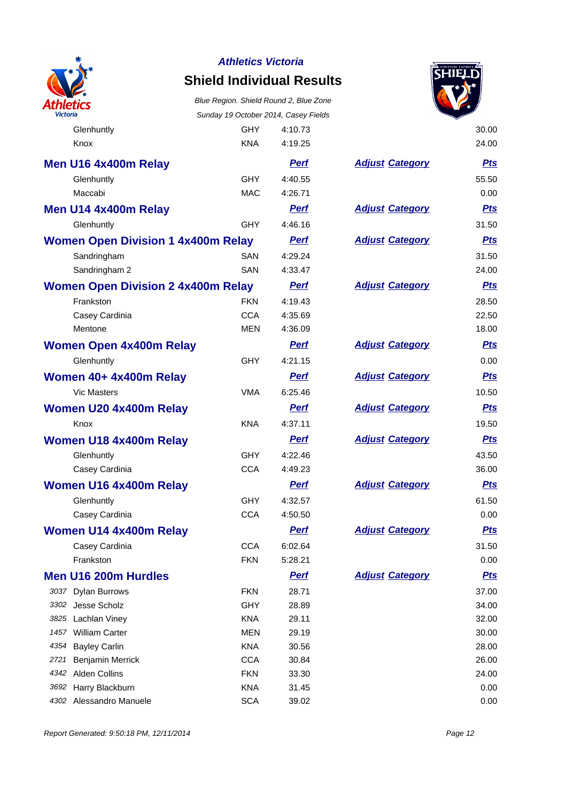

### **Shield Individual Results**

Blue Region. Shield Round 2, Blue Zone Sunday 19 October 2014, Casey Fields



Glenhuntly **GHY** 4:10.73 30.00

| Knox                                      | <b>KNA</b> | 4:19.25     |                        | 24.00      |
|-------------------------------------------|------------|-------------|------------------------|------------|
| Men U16 4x400m Relay                      |            | <b>Perf</b> | <b>Adjust Category</b> | <b>Pts</b> |
| Glenhuntly                                | <b>GHY</b> | 4:40.55     |                        | 55.50      |
| Maccabi                                   | <b>MAC</b> | 4:26.71     |                        | 0.00       |
| Men U14 4x400m Relay                      |            | <b>Perf</b> | <b>Adjust Category</b> | <b>Pts</b> |
| Glenhuntly                                | <b>GHY</b> | 4:46.16     |                        | 31.50      |
| <b>Women Open Division 1 4x400m Relay</b> |            | <b>Perf</b> | <b>Adjust Category</b> | <b>Pts</b> |
| Sandringham                               | SAN        | 4:29.24     |                        | 31.50      |
| Sandringham 2                             | SAN        | 4:33.47     |                        | 24.00      |
| <b>Women Open Division 2 4x400m Relay</b> |            | <b>Perf</b> | <b>Adjust Category</b> | <b>Pts</b> |
| Frankston                                 | <b>FKN</b> | 4:19.43     |                        | 28.50      |
| Casey Cardinia                            | <b>CCA</b> | 4:35.69     |                        | 22.50      |
| Mentone                                   | <b>MEN</b> | 4:36.09     |                        | 18.00      |
| <b>Women Open 4x400m Relay</b>            |            | <b>Perf</b> | <b>Adjust Category</b> | <b>Pts</b> |
| Glenhuntly                                | <b>GHY</b> | 4:21.15     |                        | 0.00       |
| Women 40+ 4x400m Relay                    |            | <b>Perf</b> | <b>Adjust Category</b> | <b>Pts</b> |
| <b>Vic Masters</b>                        | <b>VMA</b> | 6:25.46     |                        | 10.50      |
| Women U20 4x400m Relay                    |            | <b>Perf</b> | <b>Adjust Category</b> | <b>Pts</b> |
| Knox                                      | <b>KNA</b> | 4:37.11     |                        | 19.50      |
| Women U18 4x400m Relay                    |            | <b>Perf</b> | <b>Adjust Category</b> | <b>Pts</b> |
| Glenhuntly                                | <b>GHY</b> | 4:22.46     |                        | 43.50      |
| Casey Cardinia                            | <b>CCA</b> | 4:49.23     |                        | 36.00      |
| Women U16 4x400m Relay                    |            | <b>Perf</b> | <b>Adjust Category</b> | <u>Pts</u> |
| Glenhuntly                                | <b>GHY</b> | 4:32.57     |                        | 61.50      |
| Casey Cardinia                            | <b>CCA</b> | 4:50.50     |                        | 0.00       |
| Women U14 4x400m Relay                    |            | <b>Perf</b> | <b>Adjust Category</b> | <b>Pts</b> |
| Casey Cardinia                            | <b>CCA</b> | 6:02.64     |                        | 31.50      |
| Frankston                                 | <b>FKN</b> | 5:28.21     |                        | 0.00       |
| <b>Men U16 200m Hurdles</b>               |            | <u>Perf</u> | <b>Adjust Category</b> | <u>Pts</u> |
| 3037 Dylan Burrows                        | <b>FKN</b> | 28.71       |                        | 37.00      |
| 3302 Jesse Scholz                         | <b>GHY</b> | 28.89       |                        | 34.00      |
| 3825 Lachlan Viney                        | <b>KNA</b> | 29.11       |                        | 32.00      |
| 1457 William Carter                       | <b>MEN</b> | 29.19       |                        | 30.00      |
| <b>Bayley Carlin</b><br>4354              | <b>KNA</b> | 30.56       |                        | 28.00      |
| 2721<br>Benjamin Merrick                  | <b>CCA</b> | 30.84       |                        | 26.00      |
| 4342<br><b>Alden Collins</b>              | <b>FKN</b> | 33.30       |                        | 24.00      |
| 3692 Harry Blackburn                      | <b>KNA</b> | 31.45       |                        | 0.00       |
| 4302 Alessandro Manuele                   | <b>SCA</b> | 39.02       |                        | 0.00       |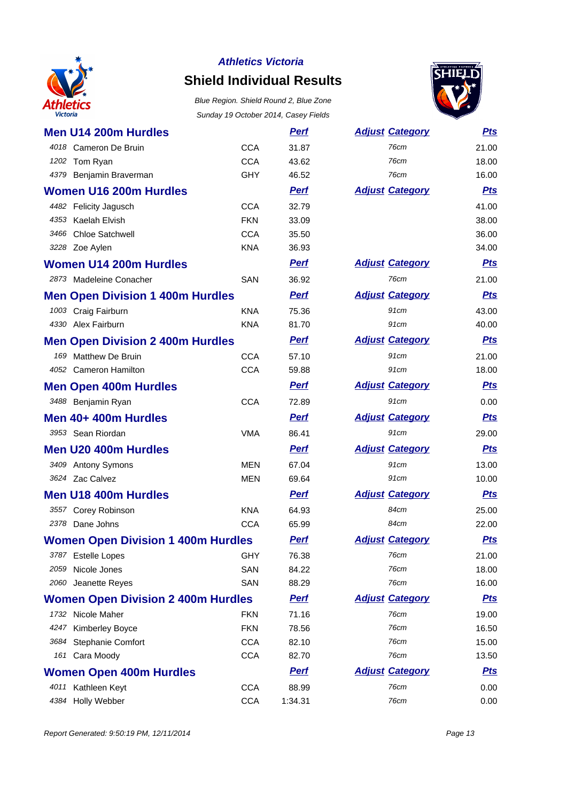

### **Shield Individual Results**



|      | Men U14 200m Hurdles                      |            | <u>Perf</u> | <b>Adjust Category</b> | <u>Pts</u> |
|------|-------------------------------------------|------------|-------------|------------------------|------------|
|      | 4018 Cameron De Bruin                     | <b>CCA</b> | 31.87       | 76cm                   | 21.00      |
|      | 1202 Tom Ryan                             | <b>CCA</b> | 43.62       | 76cm                   | 18.00      |
|      | 4379 Benjamin Braverman                   | <b>GHY</b> | 46.52       | 76cm                   | 16.00      |
|      | <b>Women U16 200m Hurdles</b>             |            | <b>Perf</b> | <b>Adjust Category</b> | <b>Pts</b> |
|      | 4482 Felicity Jagusch                     | <b>CCA</b> | 32.79       |                        | 41.00      |
|      | 4353 Kaelah Elvish                        | <b>FKN</b> | 33.09       |                        | 38.00      |
| 3466 | <b>Chloe Satchwell</b>                    | <b>CCA</b> | 35.50       |                        | 36.00      |
|      | 3228 Zoe Aylen                            | <b>KNA</b> | 36.93       |                        | 34.00      |
|      | <b>Women U14 200m Hurdles</b>             |            | <b>Perf</b> | <b>Adjust Category</b> | <u>Pts</u> |
|      | 2873 Madeleine Conacher                   | <b>SAN</b> | 36.92       | 76cm                   | 21.00      |
|      | <b>Men Open Division 1 400m Hurdles</b>   |            | <b>Perf</b> | <b>Adjust Category</b> | <u>Pts</u> |
|      | 1003 Craig Fairburn                       | <b>KNA</b> | 75.36       | 91cm                   | 43.00      |
|      | 4330 Alex Fairburn                        | <b>KNA</b> | 81.70       | 91cm                   | 40.00      |
|      | <b>Men Open Division 2 400m Hurdles</b>   |            | <b>Perf</b> | <b>Adjust Category</b> | <b>Pts</b> |
|      | 169 Matthew De Bruin                      | <b>CCA</b> | 57.10       | 91cm                   | 21.00      |
|      | 4052 Cameron Hamilton                     | <b>CCA</b> | 59.88       | 91cm                   | 18.00      |
|      | <b>Men Open 400m Hurdles</b>              |            | <b>Perf</b> | <b>Adjust Category</b> | <b>Pts</b> |
|      | 3488 Benjamin Ryan                        | <b>CCA</b> | 72.89       | 91cm                   | 0.00       |
|      | Men 40+ 400m Hurdles                      |            | <u>Perf</u> | <b>Adjust Category</b> | <b>Pts</b> |
|      | 3953 Sean Riordan                         | <b>VMA</b> | 86.41       | 91cm                   | 29.00      |
|      | <b>Men U20 400m Hurdles</b>               |            | <b>Perf</b> | <b>Adjust Category</b> | <b>Pts</b> |
|      | 3409 Antony Symons                        | <b>MEN</b> | 67.04       | 91cm                   | 13.00      |
|      | 3624 Zac Calvez                           | <b>MEN</b> | 69.64       | 91cm                   | 10.00      |
|      | <b>Men U18 400m Hurdles</b>               |            | <b>Perf</b> | <b>Adjust Category</b> | <b>Pts</b> |
|      | 3557 Corey Robinson                       | <b>KNA</b> | 64.93       | 84cm                   | 25.00      |
|      | 2378 Dane Johns                           | <b>CCA</b> | 65.99       | 84cm                   | 22.00      |
|      | <b>Women Open Division 1 400m Hurdles</b> |            | <b>Perf</b> | <b>Adjust Category</b> | <u>Pts</u> |
|      | 3787 Estelle Lopes                        | <b>GHY</b> | 76.38       | 76cm                   | 21.00      |
| 2059 | Nicole Jones                              | SAN        | 84.22       | 76cm                   | 18.00      |
| 2060 | Jeanette Reyes                            | SAN        | 88.29       | 76cm                   | 16.00      |
|      | <b>Women Open Division 2 400m Hurdles</b> |            | <u>Perf</u> | <b>Adjust Category</b> | <u>Pts</u> |
|      | 1732 Nicole Maher                         | <b>FKN</b> | 71.16       | 76cm                   | 19.00      |
| 4247 | Kimberley Boyce                           | <b>FKN</b> | 78.56       | 76cm                   | 16.50      |
|      | 3684 Stephanie Comfort                    | <b>CCA</b> | 82.10       | 76cm                   | 15.00      |
|      | 161 Cara Moody                            | <b>CCA</b> | 82.70       | 76cm                   | 13.50      |
|      | <b>Women Open 400m Hurdles</b>            |            | <b>Pert</b> | <b>Adjust Category</b> | <u>Pts</u> |
|      | 4011 Kathleen Keyt                        | <b>CCA</b> | 88.99       | 76cm                   | 0.00       |
|      | 4384 Holly Webber                         | <b>CCA</b> | 1:34.31     | 76cm                   | 0.00       |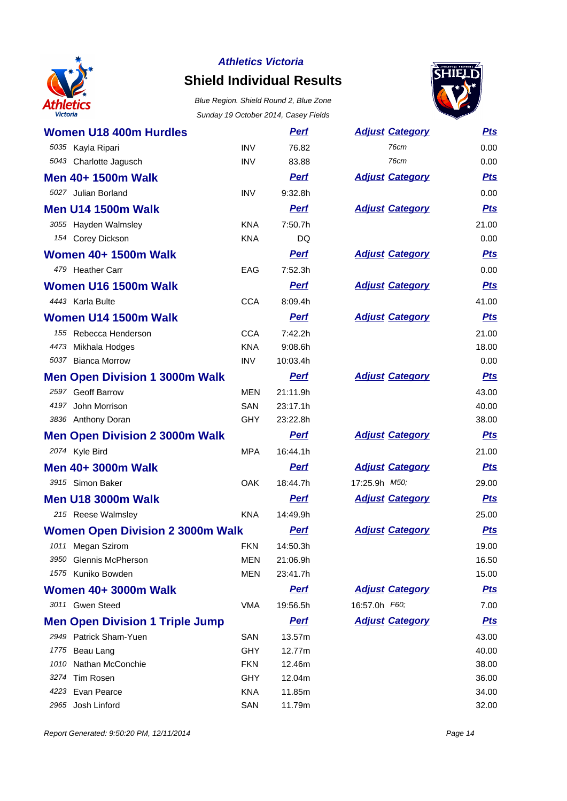

## **Shield Individual Results**



| <b>Women U18 400m Hurdles</b>           |            | <b>Perf</b> | <b>Adjust Category</b> | <b>Pts</b> |
|-----------------------------------------|------------|-------------|------------------------|------------|
| 5035 Kayla Ripari                       | <b>INV</b> | 76.82       | <b>76cm</b>            | 0.00       |
| 5043 Charlotte Jagusch                  | <b>INV</b> | 83.88       | 76cm                   | 0.00       |
| Men 40+ 1500m Walk                      |            | <b>Perf</b> | <b>Adjust Category</b> | <b>Pts</b> |
| 5027 Julian Borland                     | <b>INV</b> | 9:32.8h     |                        | 0.00       |
| <b>Men U14 1500m Walk</b>               |            | <b>Perf</b> | <b>Adjust Category</b> | <b>Pts</b> |
| 3055 Hayden Walmsley                    | <b>KNA</b> | 7:50.7h     |                        | 21.00      |
| 154 Corey Dickson                       | <b>KNA</b> | <b>DQ</b>   |                        | 0.00       |
| <b>Women 40+ 1500m Walk</b>             |            | <b>Perf</b> | <b>Adjust Category</b> | <b>Pts</b> |
| 479 Heather Carr                        | EAG        | 7:52.3h     |                        | 0.00       |
| Women U16 1500m Walk                    |            | <b>Perf</b> | <b>Adjust Category</b> | <b>Pts</b> |
| 4443 Karla Bulte                        | <b>CCA</b> | 8:09.4h     |                        | 41.00      |
| Women U14 1500m Walk                    |            | <b>Perf</b> | <b>Adjust Category</b> | <b>Pts</b> |
| 155 Rebecca Henderson                   | <b>CCA</b> | 7:42.2h     |                        | 21.00      |
| 4473<br>Mikhala Hodges                  | <b>KNA</b> | 9:08.6h     |                        | 18.00      |
| 5037 Bianca Morrow                      | <b>INV</b> | 10:03.4h    |                        | 0.00       |
| <b>Men Open Division 1 3000m Walk</b>   |            | <b>Perf</b> | <b>Adjust Category</b> | <b>Pts</b> |
| 2597 Geoff Barrow                       | <b>MEN</b> | 21:11.9h    |                        | 43.00      |
| 4197 John Morrison                      | SAN        | 23:17.1h    |                        | 40.00      |
| 3836 Anthony Doran                      | GHY        | 23:22.8h    |                        | 38.00      |
| <b>Men Open Division 2 3000m Walk</b>   |            | <b>Perf</b> | <b>Adjust Category</b> | <b>Pts</b> |
| 2074 Kyle Bird                          | <b>MPA</b> | 16:44.1h    |                        | 21.00      |
| Men 40+ 3000m Walk                      |            | <b>Perf</b> | <b>Adjust Category</b> | <b>Pts</b> |
| 3915 Simon Baker                        | <b>OAK</b> | 18:44.7h    | 17:25.9h M50;          | 29.00      |
| <b>Men U18 3000m Walk</b>               |            | <b>Perf</b> | <b>Adjust Category</b> | <b>Pts</b> |
| 215 Reese Walmsley                      | <b>KNA</b> | 14:49.9h    |                        | 25.00      |
| <b>Women Open Division 2 3000m Walk</b> |            | <b>Perf</b> | <b>Adjust Category</b> | <b>Pts</b> |
| 1011 Megan Szirom                       | <b>FKN</b> | 14:50.3h    |                        | 19.00      |
| 3950 Glennis McPherson                  | MEN        | 21:06.9h    |                        | 16.50      |
| 1575 Kuniko Bowden                      | <b>MEN</b> | 23:41.7h    |                        | 15.00      |
| <b>Women 40+ 3000m Walk</b>             |            | <b>Perf</b> | <b>Adjust Category</b> | <u>Pts</u> |
| 3011 Gwen Steed                         | <b>VMA</b> | 19:56.5h    | 16:57.0h F60;          | 7.00       |
| <b>Men Open Division 1 Triple Jump</b>  |            | <b>Pert</b> | <b>Adjust Category</b> | <u>Pts</u> |
| 2949 Patrick Sham-Yuen                  | SAN        | 13.57m      |                        | 43.00      |
| 1775 Beau Lang                          | <b>GHY</b> | 12.77m      |                        | 40.00      |
| 1010 Nathan McConchie                   | <b>FKN</b> | 12.46m      |                        | 38.00      |
| 3274 Tim Rosen                          | <b>GHY</b> | 12.04m      |                        | 36.00      |
| 4223 Evan Pearce                        | <b>KNA</b> | 11.85m      |                        | 34.00      |
| 2965 Josh Linford                       | <b>SAN</b> | 11.79m      |                        | 32.00      |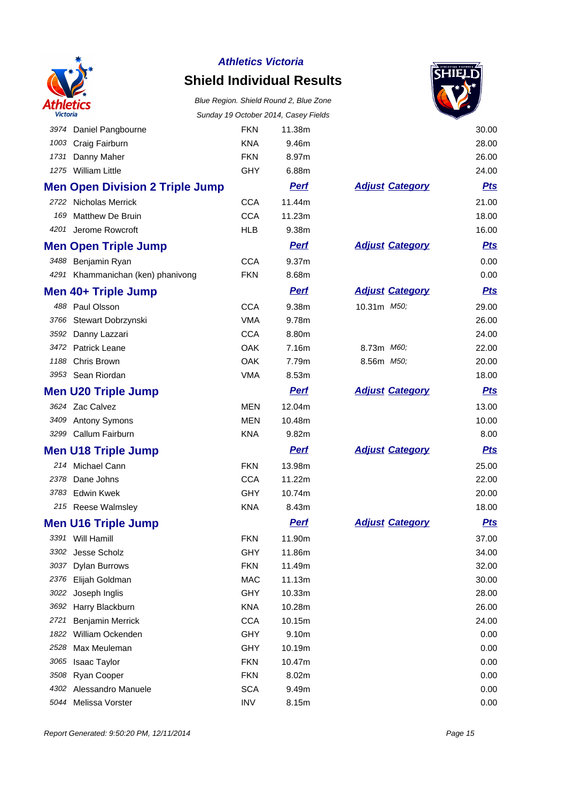

### **Shield Individual Results**



|      |                                        |            | Sunday 19 October 2014, Casey Fields |                        |            |
|------|----------------------------------------|------------|--------------------------------------|------------------------|------------|
|      | 3974 Daniel Pangbourne                 | <b>FKN</b> | 11.38m                               |                        | 30.00      |
| 1003 | Craig Fairburn                         | <b>KNA</b> | 9.46m                                |                        | 28.00      |
| 1731 | Danny Maher                            | <b>FKN</b> | 8.97m                                |                        | 26.00      |
|      | 1275 William Little                    | <b>GHY</b> | 6.88m                                |                        | 24.00      |
|      | <b>Men Open Division 2 Triple Jump</b> |            | <b>Perf</b>                          | <b>Adjust Category</b> | <u>Pts</u> |
|      | 2722 Nicholas Merrick                  | <b>CCA</b> | 11.44m                               |                        | 21.00      |
| 169  | Matthew De Bruin                       | <b>CCA</b> | 11.23m                               |                        | 18.00      |
|      | 4201 Jerome Rowcroft                   | <b>HLB</b> | 9.38m                                |                        | 16.00      |
|      | <b>Men Open Triple Jump</b>            |            | <u>Perf</u>                          | <b>Adjust Category</b> | <u>Pts</u> |
|      | 3488 Benjamin Ryan                     | <b>CCA</b> | 9.37m                                |                        | 0.00       |
|      | 4291 Khammanichan (ken) phanivong      | <b>FKN</b> | 8.68m                                |                        | 0.00       |
|      | Men 40+ Triple Jump                    |            | <u>Perf</u>                          | <b>Adjust Category</b> | <u>Pts</u> |
|      | 488 Paul Olsson                        | <b>CCA</b> | 9.38m                                | 10.31m M50;            | 29.00      |
| 3766 | Stewart Dobrzynski                     | <b>VMA</b> | 9.78m                                |                        | 26.00      |
| 3592 | Danny Lazzari                          | <b>CCA</b> | 8.80m                                |                        | 24.00      |
|      | 3472 Patrick Leane                     | OAK        | 7.16m                                | 8.73m M60;             | 22.00      |
| 1188 | Chris Brown                            | OAK        | 7.79m                                | 8.56m M50;             | 20.00      |
|      | 3953 Sean Riordan                      | <b>VMA</b> | 8.53m                                |                        | 18.00      |
|      | <b>Men U20 Triple Jump</b>             |            | <b>Perf</b>                          | <b>Adjust Category</b> | <u>Pts</u> |
|      | 3624 Zac Calvez                        | <b>MEN</b> | 12.04m                               |                        | 13.00      |
|      | 3409 Antony Symons                     | <b>MEN</b> | 10.48m                               |                        | 10.00      |
|      | 3299 Callum Fairburn                   | <b>KNA</b> | 9.82m                                |                        | 8.00       |
|      | <b>Men U18 Triple Jump</b>             |            | <b>Perf</b>                          | <b>Adjust Category</b> | <u>Pts</u> |
|      | 214 Michael Cann                       | <b>FKN</b> | 13.98m                               |                        | 25.00      |
|      | 2378 Dane Johns                        | <b>CCA</b> | 11.22m                               |                        | 22.00      |
|      | 3783 Edwin Kwek                        | <b>GHY</b> | 10.74m                               |                        | 20.00      |
|      | 215 Reese Walmsley                     | <b>KNA</b> | 8.43m                                |                        | 18.00      |
|      | <b>Men U16 Triple Jump</b>             |            | <u>Perf</u>                          | <b>Adjust Category</b> | <u>Pts</u> |
|      | 3391 Will Hamill                       | <b>FKN</b> | 11.90m                               |                        | 37.00      |
|      | 3302 Jesse Scholz                      | <b>GHY</b> | 11.86m                               |                        | 34.00      |
| 3037 | <b>Dylan Burrows</b>                   | <b>FKN</b> | 11.49m                               |                        | 32.00      |
| 2376 | Elijah Goldman                         | <b>MAC</b> | 11.13m                               |                        | 30.00      |
| 3022 | Joseph Inglis                          | <b>GHY</b> | 10.33m                               |                        | 28.00      |
| 3692 | Harry Blackburn                        | <b>KNA</b> | 10.28m                               |                        | 26.00      |
| 2721 | Benjamin Merrick                       | <b>CCA</b> | 10.15m                               |                        | 24.00      |
| 1822 | William Ockenden                       | GHY        | 9.10m                                |                        | 0.00       |
| 2528 | Max Meuleman                           | <b>GHY</b> | 10.19m                               |                        | 0.00       |
| 3065 | Isaac Taylor                           | <b>FKN</b> | 10.47m                               |                        | 0.00       |
| 3508 | Ryan Cooper                            | <b>FKN</b> | 8.02m                                |                        | 0.00       |
| 4302 | Alessandro Manuele                     | <b>SCA</b> | 9.49m                                |                        | 0.00       |
| 5044 | Melissa Vorster                        | <b>INV</b> | 8.15m                                |                        | 0.00       |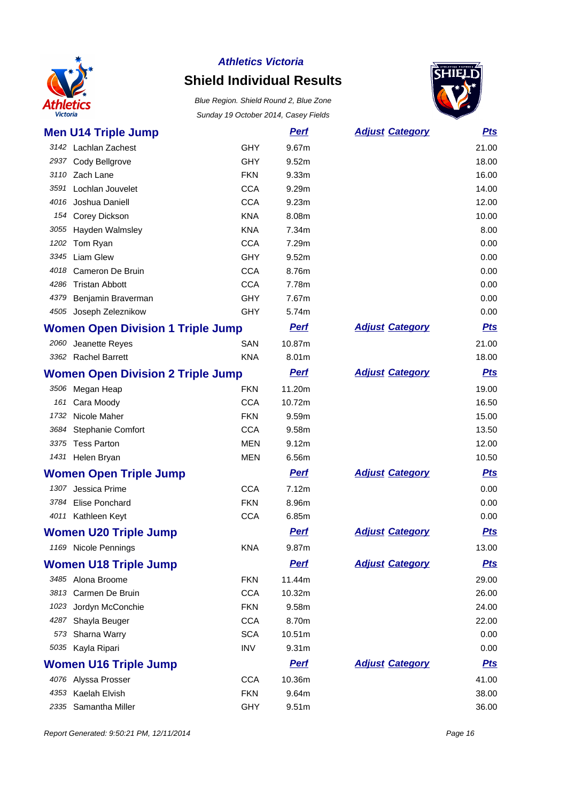

### **Shield Individual Results**

Blue Region. Shield Round 2, Blue Zone Sunday 19 October 2014, Casey Fields



| <b>Men U14 Triple Jump</b>               |            | <b>Perf</b>       | <b>Adjust Category</b> | <u>Pts</u> |
|------------------------------------------|------------|-------------------|------------------------|------------|
| 3142 Lachlan Zachest                     | <b>GHY</b> | 9.67m             |                        | 21.00      |
| 2937 Cody Bellgrove                      | <b>GHY</b> | 9.52m             |                        | 18.00      |
| 3110 Zach Lane                           | <b>FKN</b> | 9.33m             |                        | 16.00      |
| 3591 Lochlan Jouvelet                    | <b>CCA</b> | 9.29m             |                        | 14.00      |
| 4016 Joshua Daniell                      | <b>CCA</b> | 9.23m             |                        | 12.00      |
| 154 Corey Dickson                        | <b>KNA</b> | 8.08m             |                        | 10.00      |
| 3055 Hayden Walmsley                     | <b>KNA</b> | 7.34m             |                        | 8.00       |
| 1202 Tom Ryan                            | <b>CCA</b> | 7.29m             |                        | 0.00       |
| 3345 Liam Glew                           | <b>GHY</b> | 9.52m             |                        | 0.00       |
| 4018<br>Cameron De Bruin                 | <b>CCA</b> | 8.76m             |                        | 0.00       |
| 4286 Tristan Abbott                      | <b>CCA</b> | 7.78m             |                        | 0.00       |
| 4379 Benjamin Braverman                  | <b>GHY</b> | 7.67m             |                        | 0.00       |
| 4505 Joseph Zeleznikow                   | <b>GHY</b> | 5.74m             |                        | 0.00       |
| <b>Women Open Division 1 Triple Jump</b> |            | <b>Perf</b>       | <b>Adjust Category</b> | <b>Pts</b> |
| 2060 Jeanette Reyes                      | SAN        | 10.87m            |                        | 21.00      |
| 3362 Rachel Barrett                      | <b>KNA</b> | 8.01m             |                        | 18.00      |
| <b>Women Open Division 2 Triple Jump</b> |            | <b>Perf</b>       | <b>Adjust Category</b> | <u>Pts</u> |
| 3506 Megan Heap                          | <b>FKN</b> | 11.20m            |                        | 19.00      |
| 161<br>Cara Moody                        | <b>CCA</b> | 10.72m            |                        | 16.50      |
| 1732 Nicole Maher                        | <b>FKN</b> | 9.59m             |                        | 15.00      |
| <b>Stephanie Comfort</b><br>3684         | <b>CCA</b> | 9.58m             |                        | 13.50      |
| 3375 Tess Parton                         | <b>MEN</b> | 9.12m             |                        | 12.00      |
| 1431 Helen Bryan                         | MEN        | 6.56m             |                        | 10.50      |
| <b>Women Open Triple Jump</b>            |            | <b>Perf</b>       | <b>Adjust Category</b> | <u>Pts</u> |
| 1307 Jessica Prime                       | <b>CCA</b> | 7.12m             |                        | 0.00       |
| 3784 Elise Ponchard                      | <b>FKN</b> | 8.96m             |                        | 0.00       |
| 4011 Kathleen Keyt                       | <b>CCA</b> | 6.85m             |                        | 0.00       |
| <b>Women U20 Triple Jump</b>             |            | <b>Perf</b>       | <b>Adjust Category</b> | <b>Pts</b> |
| 1169 Nicole Pennings                     | <b>KNA</b> | 9.87m             |                        | 13.00      |
| <b>Women U18 Triple Jump</b>             |            | <b>Perf</b>       | <b>Adjust Category</b> | <u>Pts</u> |
| 3485 Alona Broome                        | <b>FKN</b> | 11.44m            |                        | 29.00      |
| 3813 Carmen De Bruin                     | <b>CCA</b> | 10.32m            |                        | 26.00      |
| 1023<br>Jordyn McConchie                 | <b>FKN</b> | 9.58m             |                        | 24.00      |
| 4287 Shayla Beuger                       | <b>CCA</b> | 8.70m             |                        | 22.00      |
| 573 Sharna Warry                         | <b>SCA</b> | 10.51m            |                        | 0.00       |
| 5035 Kayla Ripari                        | <b>INV</b> | 9.31 <sub>m</sub> |                        | 0.00       |
| <b>Women U16 Triple Jump</b>             |            | <b>Perf</b>       | <b>Adjust Category</b> | <u>Pts</u> |
| 4076 Alyssa Prosser                      | <b>CCA</b> | 10.36m            |                        | 41.00      |
| 4353 Kaelah Elvish                       | <b>FKN</b> | 9.64m             |                        | 38.00      |

Samantha Miller GHY 9.51m 36.00

Report Generated: 9:50:21 PM, 12/11/2014 **Page 16**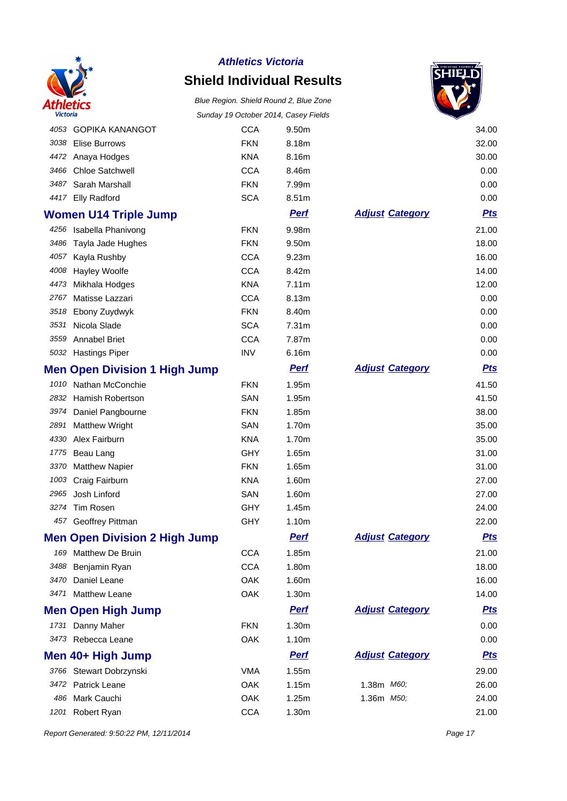

## **Shield Individual Results**

# Blue Region. Shield Round 2, Blue Zone



| Victoria |                                      | Sunday 19 October 2014, Casey Fields |             |                        |            |
|----------|--------------------------------------|--------------------------------------|-------------|------------------------|------------|
| 4053     | <b>GOPIKA KANANGOT</b>               | <b>CCA</b>                           | 9.50m       |                        | 34.00      |
| 3038     | <b>Elise Burrows</b>                 | <b>FKN</b>                           | 8.18m       |                        | 32.00      |
|          | 4472 Anaya Hodges                    | <b>KNA</b>                           | 8.16m       |                        | 30.00      |
| 3466     | <b>Chloe Satchwell</b>               | <b>CCA</b>                           | 8.46m       |                        | 0.00       |
| 3487     | Sarah Marshall                       | <b>FKN</b>                           | 7.99m       |                        | 0.00       |
| 4417     | <b>Elly Radford</b>                  | <b>SCA</b>                           | 8.51m       |                        | 0.00       |
|          | <b>Women U14 Triple Jump</b>         |                                      | <b>Pert</b> | <b>Adjust Category</b> | <b>Pts</b> |
| 4256     | Isabella Phanivong                   | <b>FKN</b>                           | 9.98m       |                        | 21.00      |
| 3486     | Tayla Jade Hughes                    | <b>FKN</b>                           | 9.50m       |                        | 18.00      |
| 4057     | Kayla Rushby                         | <b>CCA</b>                           | 9.23m       |                        | 16.00      |
| 4008     | <b>Hayley Woolfe</b>                 | <b>CCA</b>                           | 8.42m       |                        | 14.00      |
| 4473     | Mikhala Hodges                       | <b>KNA</b>                           | 7.11m       |                        | 12.00      |
| 2767     | Matisse Lazzari                      | <b>CCA</b>                           | 8.13m       |                        | 0.00       |
| 3518     | Ebony Zuydwyk                        | <b>FKN</b>                           | 8.40m       |                        | 0.00       |
| 3531     | Nicola Slade                         | <b>SCA</b>                           | 7.31m       |                        | 0.00       |
| 3559     | <b>Annabel Briet</b>                 | <b>CCA</b>                           | 7.87m       |                        | 0.00       |
|          | 5032 Hastings Piper                  | <b>INV</b>                           | 6.16m       |                        | 0.00       |
|          | <b>Men Open Division 1 High Jump</b> |                                      | <b>Perf</b> | <b>Adjust Category</b> | <u>Pts</u> |
| 1010     | Nathan McConchie                     | <b>FKN</b>                           | 1.95m       |                        | 41.50      |
| 2832     | <b>Hamish Robertson</b>              | SAN                                  | 1.95m       |                        | 41.50      |
| 3974     | Daniel Pangbourne                    | <b>FKN</b>                           | 1.85m       |                        | 38.00      |
| 2891     | <b>Matthew Wright</b>                | SAN                                  | 1.70m       |                        | 35.00      |
| 4330     | Alex Fairburn                        | <b>KNA</b>                           | 1.70m       |                        | 35.00      |
| 1775     | Beau Lang                            | <b>GHY</b>                           | 1.65m       |                        | 31.00      |
| 3370     | <b>Matthew Napier</b>                | <b>FKN</b>                           | 1.65m       |                        | 31.00      |
| 1003     | Craig Fairburn                       | <b>KNA</b>                           | 1.60m       |                        | 27.00      |
| 2965     | Josh Linford                         | SAN                                  | 1.60m       |                        | 27.00      |
| 3274     | Tim Rosen                            | <b>GHY</b>                           | 1.45m       |                        | 24.00      |
| 457      | Geoffrey Pittman                     | GHY                                  | 1.10m       |                        | 22.00      |
|          | <b>Men Open Division 2 High Jump</b> |                                      | <b>Perf</b> | <b>Adjust Category</b> | <u>Pts</u> |
| 169      | <b>Matthew De Bruin</b>              | <b>CCA</b>                           | 1.85m       |                        | 21.00      |
| 3488     | Benjamin Ryan                        | <b>CCA</b>                           | 1.80m       |                        | 18.00      |
| 3470     | Daniel Leane                         | OAK                                  | 1.60m       |                        | 16.00      |
| 3471     | <b>Matthew Leane</b>                 | OAK                                  | 1.30m       |                        | 14.00      |
|          | <b>Men Open High Jump</b>            |                                      | <u>Perf</u> | <b>Adjust Category</b> | <u>Pts</u> |
|          | 1731 Danny Maher                     | <b>FKN</b>                           | 1.30m       |                        | 0.00       |
|          | 3473 Rebecca Leane                   | OAK                                  | 1.10m       |                        | 0.00       |
|          | Men 40+ High Jump                    |                                      | <b>Perf</b> | <b>Adjust Category</b> | <u>Pts</u> |
|          | 3766 Stewart Dobrzynski              | <b>VMA</b>                           | 1.55m       |                        | 29.00      |
|          | 3472 Patrick Leane                   | OAK                                  | 1.15m       | 1.38m M60;             | 26.00      |
| 486      | Mark Cauchi                          | OAK                                  | 1.25m       | 1.36m M50;             | 24.00      |
| 1201     | Robert Ryan                          | <b>CCA</b>                           | 1.30m       |                        | 21.00      |

Report Generated: 9:50:22 PM, 12/11/2014 **Page 17**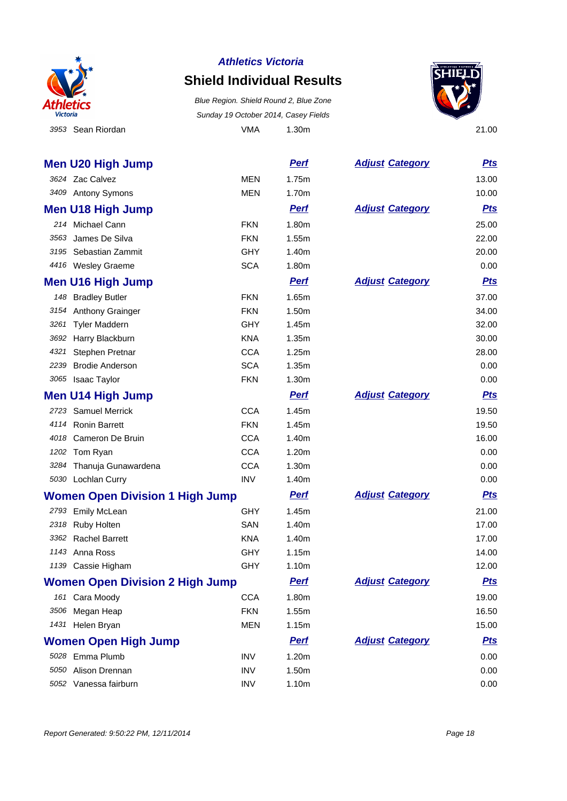

### **Shield Individual Results**

 Sean Riordan VMA 1.30m 21.00 Blue Region. Shield Round 2, Blue Zone Sunday 19 October 2014, Casey Fields



|      | <b>Men U20 High Jump</b>               |            | <b>Pert</b> | <b>Adjust Category</b> | <b>Pts</b> |
|------|----------------------------------------|------------|-------------|------------------------|------------|
|      | 3624 Zac Calvez                        | <b>MEN</b> | 1.75m       |                        | 13.00      |
|      | 3409 Antony Symons                     | MEN        | 1.70m       |                        | 10.00      |
|      | <b>Men U18 High Jump</b>               |            | <b>Perf</b> | <b>Adjust Category</b> | <b>Pts</b> |
|      | 214 Michael Cann                       | <b>FKN</b> | 1.80m       |                        | 25.00      |
| 3563 | James De Silva                         | <b>FKN</b> | 1.55m       |                        | 22.00      |
|      | 3195 Sebastian Zammit                  | <b>GHY</b> | 1.40m       |                        | 20.00      |
|      | 4416 Wesley Graeme                     | <b>SCA</b> | 1.80m       |                        | 0.00       |
|      | <b>Men U16 High Jump</b>               |            | <b>Pert</b> | <b>Adjust Category</b> | <u>Pts</u> |
|      | 148 Bradley Butler                     | <b>FKN</b> | 1.65m       |                        | 37.00      |
|      | 3154 Anthony Grainger                  | <b>FKN</b> | 1.50m       |                        | 34.00      |
| 3261 | <b>Tyler Maddern</b>                   | <b>GHY</b> | 1.45m       |                        | 32.00      |
| 3692 | Harry Blackburn                        | <b>KNA</b> | 1.35m       |                        | 30.00      |
| 4321 | Stephen Pretnar                        | <b>CCA</b> | 1.25m       |                        | 28.00      |
| 2239 | <b>Brodie Anderson</b>                 | <b>SCA</b> | 1.35m       |                        | 0.00       |
|      | 3065 Isaac Taylor                      | <b>FKN</b> | 1.30m       |                        | 0.00       |
|      | <b>Men U14 High Jump</b>               |            | <b>Pert</b> | <b>Adjust Category</b> | <b>Pts</b> |
|      | 2723 Samuel Merrick                    | <b>CCA</b> | 1.45m       |                        | 19.50      |
|      | 4114 Ronin Barrett                     | <b>FKN</b> | 1.45m       |                        | 19.50      |
|      | 4018 Cameron De Bruin                  | <b>CCA</b> | 1.40m       |                        | 16.00      |
|      | 1202 Tom Ryan                          | <b>CCA</b> | 1.20m       |                        | 0.00       |
|      | 3284 Thanuja Gunawardena               | <b>CCA</b> | 1.30m       |                        | 0.00       |
|      | 5030 Lochlan Curry                     | <b>INV</b> | 1.40m       |                        | 0.00       |
|      | <b>Women Open Division 1 High Jump</b> |            | <b>Perf</b> | <b>Adjust Category</b> | <u>Pts</u> |
|      | 2793 Emily McLean                      | <b>GHY</b> | 1.45m       |                        | 21.00      |
|      | 2318 Ruby Holten                       | SAN        | 1.40m       |                        | 17.00      |
|      | 3362 Rachel Barrett                    | <b>KNA</b> | 1.40m       |                        | 17.00      |
|      | 1143 Anna Ross                         | GHY        | 1.15m       |                        | 14.00      |
|      | 1139 Cassie Higham                     | <b>GHY</b> | 1.10m       |                        | 12.00      |
|      | <b>Women Open Division 2 High Jump</b> |            | <b>Pert</b> | <b>Adjust Category</b> | <b>Pts</b> |
|      | 161 Cara Moody                         | <b>CCA</b> | 1.80m       |                        | 19.00      |
| 3506 | Megan Heap                             | <b>FKN</b> | 1.55m       |                        | 16.50      |
|      | 1431 Helen Bryan                       | <b>MEN</b> | 1.15m       |                        | 15.00      |
|      | <b>Women Open High Jump</b>            |            | <b>Perf</b> | <b>Adjust Category</b> | <u>Pts</u> |
|      | 5028 Emma Plumb                        | <b>INV</b> | 1.20m       |                        | 0.00       |
|      | 5050 Alison Drennan                    | <b>INV</b> | 1.50m       |                        | 0.00       |
|      | 5052 Vanessa fairburn                  | INV        | 1.10m       |                        | 0.00       |
|      |                                        |            |             |                        |            |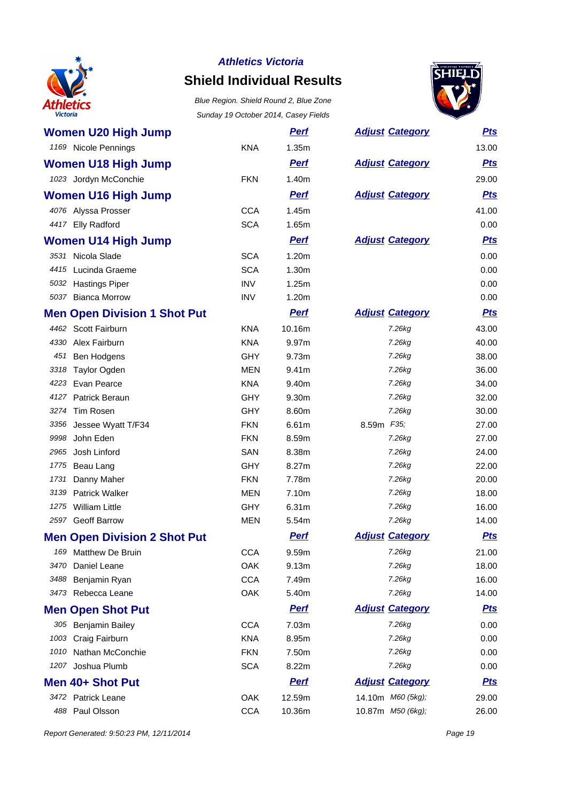

# **Shield Individual Results**



| <b>Women U20 High Jump</b>          |            | <b>Perf</b> | <b>Adjust Category</b> | <u>Pts</u> |
|-------------------------------------|------------|-------------|------------------------|------------|
| 1169 Nicole Pennings                | <b>KNA</b> | 1.35m       |                        | 13.00      |
| <b>Women U18 High Jump</b>          |            | <b>Perf</b> | <b>Adjust Category</b> | <b>Pts</b> |
| 1023 Jordyn McConchie               | <b>FKN</b> | 1.40m       |                        | 29.00      |
| <b>Women U16 High Jump</b>          |            | <b>Perf</b> | <b>Adjust Category</b> | <b>Pts</b> |
| 4076 Alyssa Prosser                 | <b>CCA</b> | 1.45m       |                        | 41.00      |
| 4417 Elly Radford                   | <b>SCA</b> | 1.65m       |                        | 0.00       |
| <b>Women U14 High Jump</b>          |            | <b>Perf</b> | <b>Adjust Category</b> | <u>Pts</u> |
| 3531 Nicola Slade                   | <b>SCA</b> | 1.20m       |                        | 0.00       |
| 4415 Lucinda Graeme                 | <b>SCA</b> | 1.30m       |                        | 0.00       |
| 5032 Hastings Piper                 | <b>INV</b> | 1.25m       |                        | 0.00       |
| 5037 Bianca Morrow                  | <b>INV</b> | 1.20m       |                        | 0.00       |
| <b>Men Open Division 1 Shot Put</b> |            | <b>Pert</b> | <b>Adjust Category</b> | <b>Pts</b> |
| 4462 Scott Fairburn                 | <b>KNA</b> | 10.16m      | 7.26kg                 | 43.00      |
| 4330<br>Alex Fairburn               | <b>KNA</b> | 9.97m       | 7.26kg                 | 40.00      |
| 451 Ben Hodgens                     | <b>GHY</b> | 9.73m       | 7.26kg                 | 38.00      |
| 3318 Taylor Ogden                   | <b>MEN</b> | 9.41m       | 7.26kg                 | 36.00      |
| 4223 Evan Pearce                    | <b>KNA</b> | 9.40m       | 7.26kg                 | 34.00      |
| 4127 Patrick Beraun                 | <b>GHY</b> | 9.30m       | 7.26kg                 | 32.00      |
| 3274<br>Tim Rosen                   | <b>GHY</b> | 8.60m       | 7.26kg                 | 30.00      |
| 3356 Jessee Wyatt T/F34             | <b>FKN</b> | 6.61m       | 8.59m F35;             | 27.00      |
| John Eden<br>9998                   | <b>FKN</b> | 8.59m       | 7.26kg                 | 27.00      |
| 2965<br>Josh Linford                | SAN        | 8.38m       | 7.26kg                 | 24.00      |
| 1775<br>Beau Lang                   | <b>GHY</b> | 8.27m       | 7.26kg                 | 22.00      |
| Danny Maher<br>1731                 | <b>FKN</b> | 7.78m       | 7.26kg                 | 20.00      |
| 3139<br><b>Patrick Walker</b>       | MEN        | 7.10m       | 7.26kg                 | 18.00      |
| 1275 William Little                 | <b>GHY</b> | 6.31m       | 7.26kg                 | 16.00      |
| 2597 Geoff Barrow                   | <b>MEN</b> | 5.54m       | 7.26kg                 | 14.00      |
| <b>Men Open Division 2 Shot Put</b> |            | <b>Perf</b> | <b>Adjust Category</b> | <b>Pts</b> |
| Matthew De Bruin<br>169             | <b>CCA</b> | 9.59m       | 7.26kg                 | 21.00      |
| 3470<br>Daniel Leane                | <b>OAK</b> | 9.13m       | 7.26kg                 | 18.00      |
| 3488<br>Benjamin Ryan               | <b>CCA</b> | 7.49m       | 7.26kg                 | 16.00      |
| Rebecca Leane<br>3473               | OAK        | 5.40m       | 7.26kg                 | 14.00      |
| <b>Men Open Shot Put</b>            |            | <b>Perf</b> | <b>Adjust Category</b> | <u>Pts</u> |
| 305 Benjamin Bailey                 | <b>CCA</b> | 7.03m       | 7.26kg                 | 0.00       |
| Craig Fairburn<br>1003              | <b>KNA</b> | 8.95m       | 7.26kg                 | 0.00       |
| Nathan McConchie<br>1010            | <b>FKN</b> | 7.50m       | 7.26kg                 | 0.00       |
| Joshua Plumb<br>1207                | <b>SCA</b> | 8.22m       | 7.26kg                 | 0.00       |
| Men 40+ Shot Put                    |            | <b>Perf</b> | <b>Adjust Category</b> | <u>Pts</u> |
| 3472 Patrick Leane                  | OAK        | 12.59m      | 14.10m M60 (5kg);      | 29.00      |
| 488 Paul Olsson                     | <b>CCA</b> | 10.36m      | 10.87m M50 (6kg);      | 26.00      |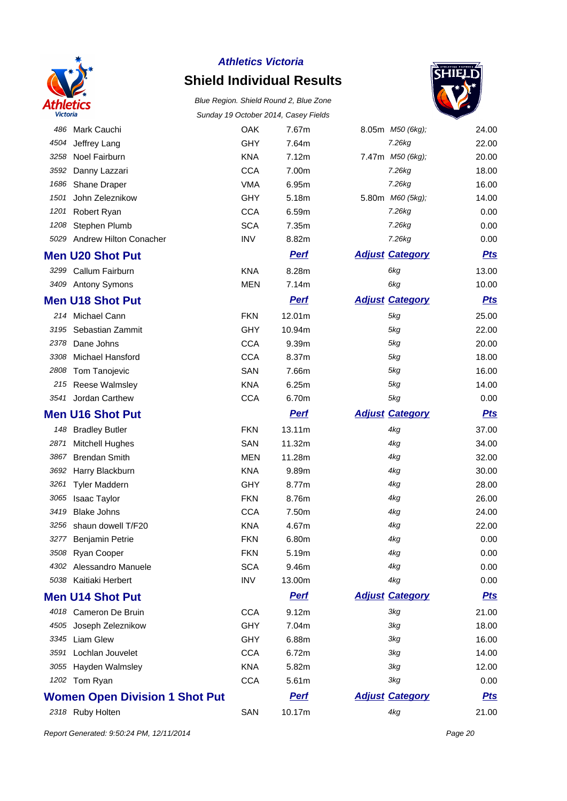

# **Shield Individual Results**

Blue Region. Shield Round 2, Blue Zone Sunday 19 October 2014, Casey Fields



|      |                                       |            | $10$ colorer $201 - 7$ , case, $1$ |                        |            |
|------|---------------------------------------|------------|------------------------------------|------------------------|------------|
|      | 486 Mark Cauchi                       | <b>OAK</b> | 7.67m                              | 8.05m M50 (6kg);       | 24.00      |
| 4504 | Jeffrey Lang                          | <b>GHY</b> | 7.64m                              | 7.26kg                 | 22.00      |
| 3258 | Noel Fairburn                         | <b>KNA</b> | 7.12m                              | 7.47m M50 (6kg);       | 20.00      |
| 3592 | Danny Lazzari                         | <b>CCA</b> | 7.00m                              | 7.26kg                 | 18.00      |
| 1686 | Shane Draper                          | <b>VMA</b> | 6.95m                              | 7.26kg                 | 16.00      |
| 1501 | John Zeleznikow                       | <b>GHY</b> | 5.18m                              | 5.80m M60 (5kg);       | 14.00      |
| 1201 | Robert Ryan                           | <b>CCA</b> | 6.59m                              | 7.26kg                 | 0.00       |
| 1208 | Stephen Plumb                         | <b>SCA</b> | 7.35m                              | 7.26kg                 | 0.00       |
|      | 5029 Andrew Hilton Conacher           | <b>INV</b> | 8.82m                              | 7.26kg                 | 0.00       |
|      | <b>Men U20 Shot Put</b>               |            | <b>Pert</b>                        | <b>Adjust Category</b> | <b>Pts</b> |
|      | 3299 Callum Fairburn                  | <b>KNA</b> | 8.28m                              | 6kg                    | 13.00      |
|      | 3409 Antony Symons                    | <b>MEN</b> | 7.14m                              | 6kg                    | 10.00      |
|      | <b>Men U18 Shot Put</b>               |            | <b>Pert</b>                        | <b>Adjust Category</b> | <b>Pts</b> |
|      | 214 Michael Cann                      | <b>FKN</b> | 12.01m                             | 5kg                    | 25.00      |
| 3195 | Sebastian Zammit                      | <b>GHY</b> | 10.94m                             | 5kg                    | 22.00      |
| 2378 | Dane Johns                            | <b>CCA</b> | 9.39m                              | 5kg                    | 20.00      |
| 3308 | Michael Hansford                      | <b>CCA</b> | 8.37m                              | 5kg                    | 18.00      |
| 2808 | Tom Tanojevic                         | SAN        | 7.66m                              | 5kg                    | 16.00      |
|      | 215 Reese Walmsley                    | <b>KNA</b> | 6.25m                              | 5kg                    | 14.00      |
| 3541 | Jordan Carthew                        | <b>CCA</b> | 6.70m                              | 5kg                    | 0.00       |
|      | <b>Men U16 Shot Put</b>               |            | <b>Pert</b>                        | <b>Adjust Category</b> | <b>Pts</b> |
|      | 148 Bradley Butler                    | <b>FKN</b> | 13.11m                             | 4kg                    | 37.00      |
| 2871 | <b>Mitchell Hughes</b>                | SAN        | 11.32m                             | 4kg                    | 34.00      |
| 3867 | <b>Brendan Smith</b>                  | <b>MEN</b> | 11.28m                             | 4kg                    | 32.00      |
| 3692 | Harry Blackburn                       | KNA        | 9.89m                              | 4kg                    | 30.00      |
| 3261 | <b>Tyler Maddern</b>                  | <b>GHY</b> | 8.77m                              | 4kg                    | 28.00      |
| 3065 | Isaac Taylor                          | <b>FKN</b> | 8.76m                              | 4kg                    | 26.00      |
| 3419 | <b>Blake Johns</b>                    | <b>CCA</b> | 7.50m                              | 4kg                    | 24.00      |
| 3256 | shaun dowell T/F20                    | <b>KNA</b> | 4.67m                              | 4kg                    | 22.00      |
| 3277 | <b>Benjamin Petrie</b>                | <b>FKN</b> | 6.80m                              | 4kg                    | 0.00       |
|      | 3508 Ryan Cooper                      | <b>FKN</b> | 5.19m                              | 4kg                    | 0.00       |
|      | 4302 Alessandro Manuele               | <b>SCA</b> | 9.46m                              | 4kg                    | 0.00       |
|      | 5038 Kaitiaki Herbert                 | <b>INV</b> | 13.00m                             | 4kg                    | 0.00       |
|      | <b>Men U14 Shot Put</b>               |            | <b>Perf</b>                        | <b>Adjust Category</b> | <u>Pts</u> |
|      | 4018 Cameron De Bruin                 | <b>CCA</b> | 9.12m                              | 3kg                    | 21.00      |
|      | 4505 Joseph Zeleznikow                | <b>GHY</b> | 7.04m                              | 3kg                    | 18.00      |
| 3345 | Liam Glew                             | <b>GHY</b> | 6.88m                              | 3kg                    | 16.00      |
| 3591 | Lochlan Jouvelet                      | <b>CCA</b> | 6.72m                              | 3kg                    | 14.00      |
| 3055 | Hayden Walmsley                       | <b>KNA</b> | 5.82m                              | 3kg                    | 12.00      |
|      | 1202 Tom Ryan                         | <b>CCA</b> | 5.61m                              | 3kg                    | 0.00       |
|      | <b>Women Open Division 1 Shot Put</b> |            | <u>Perf</u>                        | <b>Adjust Category</b> | <u>Pts</u> |
|      | 2318 Ruby Holten                      | SAN        | 10.17m                             | 4kg                    | 21.00      |

Report Generated: 9:50:24 PM, 12/11/2014 Page 20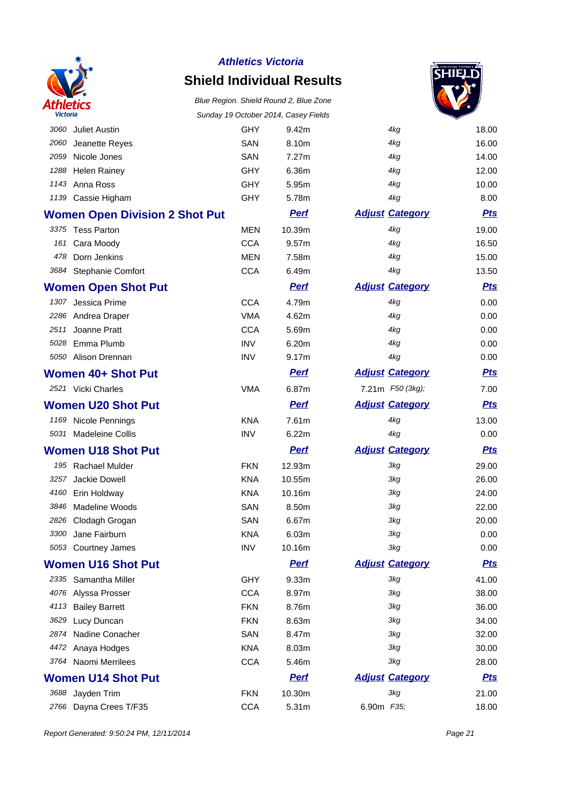

### **Shield Individual Results**



|      |                                       |            | Sunday 19 October 2014, Gasey Fields |                        | ਵ          |
|------|---------------------------------------|------------|--------------------------------------|------------------------|------------|
|      | 3060 Juliet Austin                    | <b>GHY</b> | 9.42m                                | 4kg                    | 18.00      |
| 2060 | Jeanette Reyes                        | SAN        | 8.10m                                | 4kg                    | 16.00      |
|      | 2059 Nicole Jones                     | SAN        | 7.27m                                | 4kg                    | 14.00      |
|      | 1288 Helen Rainey                     | <b>GHY</b> | 6.36m                                | 4kg                    | 12.00      |
|      | 1143 Anna Ross                        | <b>GHY</b> | 5.95m                                | 4kg                    | 10.00      |
|      | 1139 Cassie Higham                    | GHY        | 5.78m                                | 4kg                    | 8.00       |
|      | <b>Women Open Division 2 Shot Put</b> |            | <b>Pert</b>                          | <b>Adjust Category</b> | <b>Pts</b> |
|      | 3375 Tess Parton                      | <b>MEN</b> | 10.39m                               | 4kg                    | 19.00      |
|      | 161 Cara Moody                        | <b>CCA</b> | 9.57m                                | 4kg                    | 16.50      |
|      | 478 Dorn Jenkins                      | <b>MEN</b> | 7.58m                                | 4kg                    | 15.00      |
|      | 3684 Stephanie Comfort                | <b>CCA</b> | 6.49m                                | 4kg                    | 13.50      |
|      | <b>Women Open Shot Put</b>            |            | <b>Perf</b>                          | <b>Adjust Category</b> | <b>Pts</b> |
|      | 1307 Jessica Prime                    | <b>CCA</b> | 4.79m                                | 4kg                    | 0.00       |
|      | 2286 Andrea Draper                    | <b>VMA</b> | 4.62m                                | 4kg                    | 0.00       |
| 2511 | Joanne Pratt                          | <b>CCA</b> | 5.69m                                | 4kg                    | 0.00       |
|      | 5028 Emma Plumb                       | <b>INV</b> | 6.20m                                | 4kg                    | 0.00       |
|      | 5050 Alison Drennan                   | <b>INV</b> | 9.17m                                | 4kg                    | 0.00       |
|      | Women 40+ Shot Put                    |            | <b>Pert</b>                          | <b>Adjust Category</b> | <u>Pts</u> |
|      | 2521 Vicki Charles                    | <b>VMA</b> | 6.87m                                | 7.21m F50 (3kg);       | 7.00       |
|      | <b>Women U20 Shot Put</b>             |            | <b>Perf</b>                          | <b>Adjust Category</b> | <b>Pts</b> |
|      | 1169 Nicole Pennings                  | <b>KNA</b> | 7.61m                                | 4kg                    | 13.00      |
|      | 5031 Madeleine Collis                 | <b>INV</b> | 6.22m                                | 4kg                    | 0.00       |
|      | <b>Women U18 Shot Put</b>             |            | <b>Perf</b>                          | <b>Adjust Category</b> | <b>Pts</b> |
|      | 195 Rachael Mulder                    | <b>FKN</b> | 12.93m                               | 3kg                    | 29.00      |
| 3257 | Jackie Dowell                         | <b>KNA</b> | 10.55m                               | 3kg                    | 26.00      |
| 4160 | Erin Holdway                          | <b>KNA</b> | 10.16m                               | 3kg                    | 24.00      |
| 3846 | Madeline Woods                        | SAN        | 8.50m                                | 3kg                    | 22.00      |
|      | 2826 Clodagh Grogan                   | SAN        | 6.67m                                | 3kg                    | 20.00      |
| 3300 | Jane Fairburn                         | KNA        | 6.03m                                | 3kg                    | 0.00       |
|      | 5053 Courtney James                   | <b>INV</b> | 10.16m                               | 3kg                    | 0.00       |
|      | <b>Women U16 Shot Put</b>             |            | <b>Perf</b>                          | <b>Adjust Category</b> | <u>Pts</u> |
|      | 2335 Samantha Miller                  | <b>GHY</b> | 9.33m                                | 3kg                    | 41.00      |
|      | 4076 Alyssa Prosser                   | <b>CCA</b> | 8.97m                                | 3kg                    | 38.00      |
|      | 4113 Bailey Barrett                   | <b>FKN</b> | 8.76m                                | 3kg                    | 36.00      |
| 3629 | Lucy Duncan                           | <b>FKN</b> | 8.63m                                | 3kg                    | 34.00      |
| 2874 | Nadine Conacher                       | SAN        | 8.47m                                | 3kg                    | 32.00      |
| 4472 | Anaya Hodges                          | <b>KNA</b> | 8.03m                                | 3kg                    | 30.00      |
|      | 3764 Naomi Merrilees                  | <b>CCA</b> | 5.46m                                | 3kg                    | 28.00      |
|      | <b>Women U14 Shot Put</b>             |            | <b>Perf</b>                          | <b>Adjust Category</b> | <u>Pts</u> |
|      | 3688 Jayden Trim                      | <b>FKN</b> | 10.30m                               | 3kg                    | 21.00      |
|      | 2766 Dayna Crees T/F35                | <b>CCA</b> | 5.31m                                | 6.90m F35;             | 18.00      |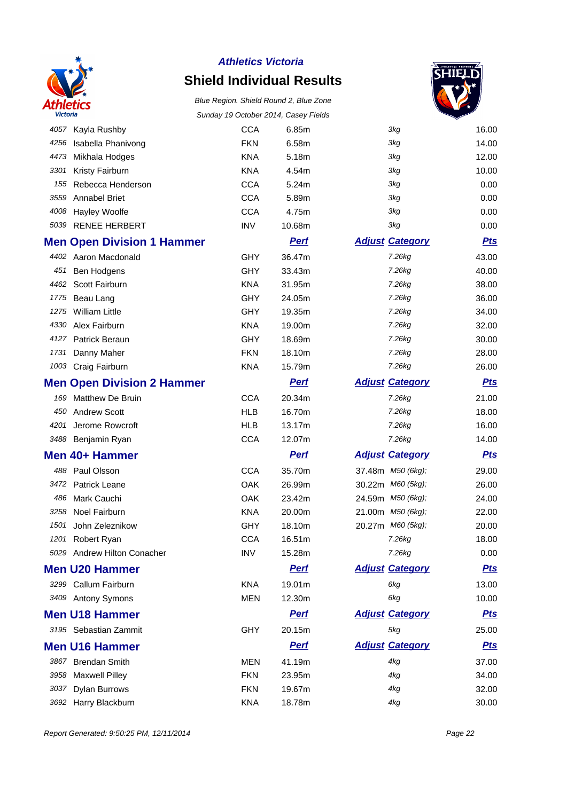

### **Shield Individual Results**



| v ictoria |                                   |            | Sunday 19 October 2014, Casey Fleids |                        |            |
|-----------|-----------------------------------|------------|--------------------------------------|------------------------|------------|
| 4057      | Kayla Rushby                      | <b>CCA</b> | 6.85m                                | 3kg                    | 16.00      |
| 4256      | Isabella Phanivong                | <b>FKN</b> | 6.58m                                | 3kg                    | 14.00      |
| 4473      | Mikhala Hodges                    | <b>KNA</b> | 5.18m                                | 3kg                    | 12.00      |
| 3301      | Kristy Fairburn                   | <b>KNA</b> | 4.54m                                | 3kg                    | 10.00      |
| 155       | Rebecca Henderson                 | <b>CCA</b> | 5.24m                                | 3kg                    | 0.00       |
| 3559      | <b>Annabel Briet</b>              | <b>CCA</b> | 5.89m                                | 3kg                    | 0.00       |
| 4008      | <b>Hayley Woolfe</b>              | <b>CCA</b> | 4.75m                                | 3kg                    | 0.00       |
|           | 5039 RENEE HERBERT                | <b>INV</b> | 10.68m                               | 3kg                    | 0.00       |
|           | <b>Men Open Division 1 Hammer</b> |            | <b>Pert</b>                          | <b>Adjust Category</b> | <b>Pts</b> |
|           | 4402 Aaron Macdonald              | <b>GHY</b> | 36.47m                               | 7.26kg                 | 43.00      |
|           | 451 Ben Hodgens                   | GHY        | 33.43m                               | 7.26kg                 | 40.00      |
| 4462      | <b>Scott Fairburn</b>             | <b>KNA</b> | 31.95m                               | 7.26kg                 | 38.00      |
|           | 1775 Beau Lang                    | <b>GHY</b> | 24.05m                               | 7.26kg                 | 36.00      |
| 1275      | <b>William Little</b>             | GHY        | 19.35m                               | 7.26kg                 | 34.00      |
| 4330      | Alex Fairburn                     | <b>KNA</b> | 19.00m                               | 7.26kg                 | 32.00      |
| 4127      | Patrick Beraun                    | <b>GHY</b> | 18.69m                               | 7.26kg                 | 30.00      |
| 1731      | Danny Maher                       | <b>FKN</b> | 18.10m                               | 7.26kg                 | 28.00      |
|           | 1003 Craig Fairburn               | <b>KNA</b> | 15.79m                               | 7.26kg                 | 26.00      |
|           | <b>Men Open Division 2 Hammer</b> |            | <b>Perf</b>                          | <b>Adjust Category</b> | <b>Pts</b> |
|           | 169 Matthew De Bruin              | <b>CCA</b> | 20.34m                               | 7.26kg                 | 21.00      |
|           | 450 Andrew Scott                  | <b>HLB</b> | 16.70m                               | 7.26kg                 | 18.00      |
| 4201      | Jerome Rowcroft                   | <b>HLB</b> | 13.17m                               | 7.26kg                 | 16.00      |
|           | 3488 Benjamin Ryan                | <b>CCA</b> | 12.07m                               | 7.26kg                 | 14.00      |
|           | Men 40+ Hammer                    |            | <b>Perf</b>                          | <b>Adjust Category</b> | <u>Pts</u> |
| 488       | Paul Olsson                       | <b>CCA</b> | 35.70m                               | 37.48m M50 (6kg);      | 29.00      |
| 3472      | <b>Patrick Leane</b>              | OAK        | 26.99m                               | 30.22m M60 (5kg);      | 26.00      |
| 486       | Mark Cauchi                       | OAK        | 23.42m                               | 24.59m M50 (6kg);      | 24.00      |
| 3258      | Noel Fairburn                     | <b>KNA</b> | 20.00m                               | 21.00m M50 (6kg);      | 22.00      |
| 1501      | John Zeleznikow                   | GHY        | 18.10m                               | 20.27m M60 (5kg);      | 20.00      |
|           | 1201 Robert Ryan                  | <b>CCA</b> | 16.51m                               | 7.26kq                 | 18.00      |
|           | 5029 Andrew Hilton Conacher       | <b>INV</b> | 15.28m                               | 7.26kg                 | 0.00       |
|           | <b>Men U20 Hammer</b>             |            | <b>Perf</b>                          | <b>Adjust Category</b> | <u>Pts</u> |
|           | 3299 Callum Fairburn              | <b>KNA</b> | 19.01m                               | 6kg                    | 13.00      |
|           | 3409 Antony Symons                | <b>MEN</b> | 12.30m                               | 6kg                    | 10.00      |
|           | <b>Men U18 Hammer</b>             |            | <b>Perf</b>                          | <b>Adjust Category</b> | <u>Pts</u> |
|           | 3195 Sebastian Zammit             | GHY        | 20.15m                               | 5kg                    | 25.00      |
|           | <b>Men U16 Hammer</b>             |            | <b>Perf</b>                          | <b>Adjust Category</b> | <u>Pts</u> |
|           | 3867 Brendan Smith                | <b>MEN</b> | 41.19m                               | 4kg                    | 37.00      |
| 3958      | <b>Maxwell Pilley</b>             | <b>FKN</b> | 23.95m                               | 4kg                    | 34.00      |
| 3037      | <b>Dylan Burrows</b>              | <b>FKN</b> | 19.67m                               | 4kg                    | 32.00      |
|           | 3692 Harry Blackburn              | <b>KNA</b> | 18.78m                               | 4kg                    | 30.00      |